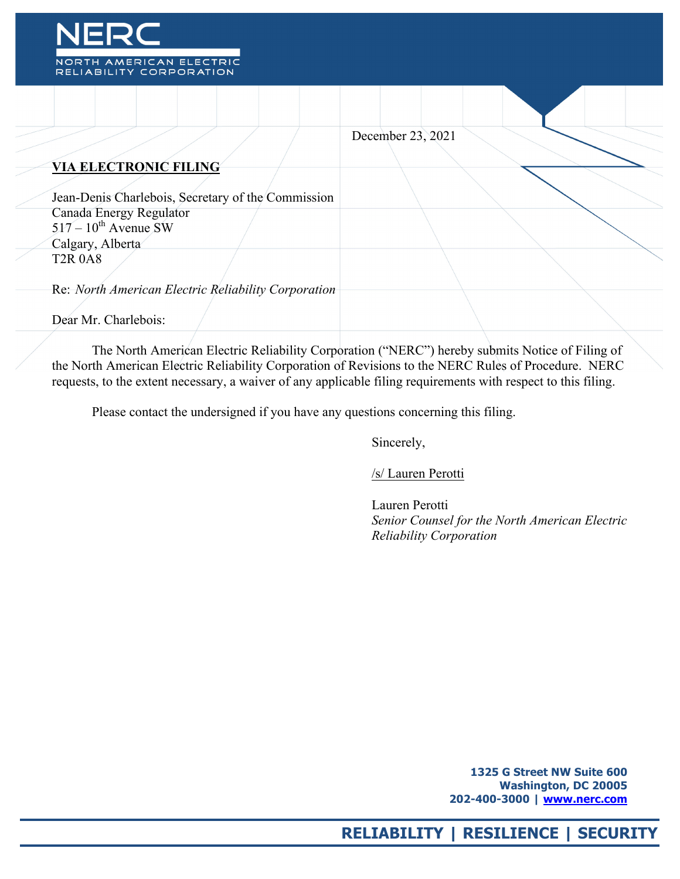

|                                                                             | December 23, 2021 |
|-----------------------------------------------------------------------------|-------------------|
| <b>VIA ELECTRONIC FILING</b>                                                |                   |
| Jean-Denis Charlebois, Secretary of the Commission                          |                   |
| Canada Energy Regulator<br>$517 - 10^{th}$ Avenue SW                        |                   |
| Calgary, Alberta<br><b>T2R 0A8</b>                                          |                   |
| Re: North American Electric Reliability Corporation<br>Dear Mr. Charlebois: |                   |
|                                                                             |                   |

The North American Electric Reliability Corporation ("NERC") hereby submits Notice of Filing of the North American Electric Reliability Corporation of Revisions to the NERC Rules of Procedure. NERC requests, to the extent necessary, a waiver of any applicable filing requirements with respect to this filing.

Please contact the undersigned if you have any questions concerning this filing.

Sincerely,

/s/ Lauren Perotti

 Lauren Perotti *Senior Counsel for the North American Electric Reliability Corporation*

> **1325 G Street NW Suite 600 Washington, DC 20005 202-400-3000 | www.nerc.com**

# **RELIABILITY | RESILIENCE | SECURITY**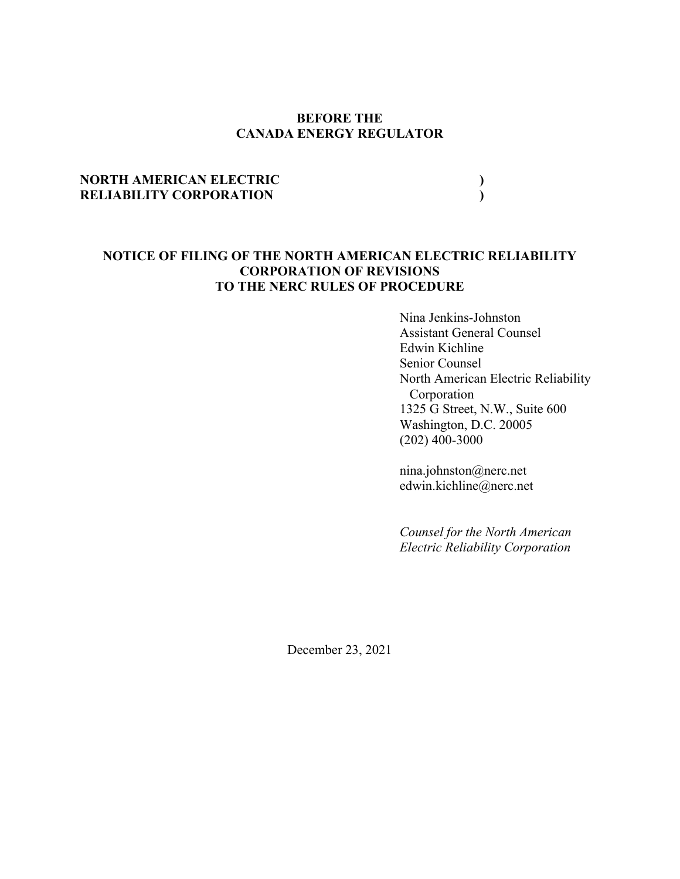# **BEFORE THE CANADA ENERGY REGULATOR**

# **NORTH AMERICAN ELECTRIC ) RELIABILITY CORPORATION )**

# **NOTICE OF FILING OF THE NORTH AMERICAN ELECTRIC RELIABILITY CORPORATION OF REVISIONS TO THE NERC RULES OF PROCEDURE**

Nina Jenkins-Johnston Assistant General Counsel Edwin Kichline Senior Counsel North American Electric Reliability Corporation 1325 G Street, N.W., Suite 600 Washington, D.C. 20005 (202) 400-3000

nina.johnston@nerc.net edwin.kichline@nerc.net

*Counsel for the North American Electric Reliability Corporation*

December 23, 2021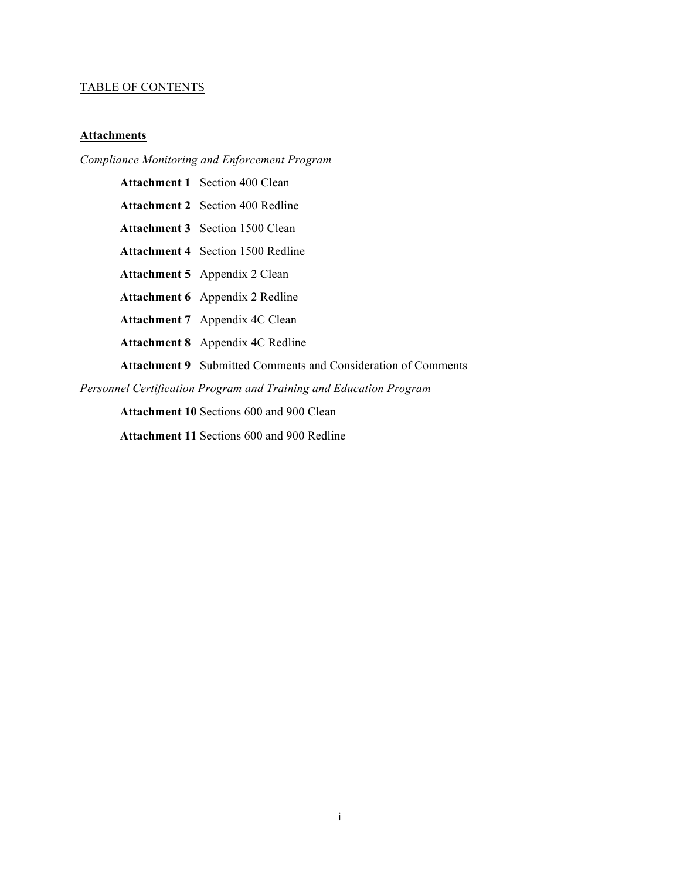# TABLE OF CONTENTS

# **Attachments**

# *Compliance Monitoring and Enforcement Program*

|                                                                    | <b>Attachment 1</b> Section 400 Clean                                |  |  |
|--------------------------------------------------------------------|----------------------------------------------------------------------|--|--|
|                                                                    | <b>Attachment 2</b> Section 400 Redline                              |  |  |
|                                                                    | <b>Attachment 3</b> Section 1500 Clean                               |  |  |
|                                                                    | <b>Attachment 4</b> Section 1500 Redline                             |  |  |
|                                                                    | <b>Attachment 5</b> Appendix 2 Clean                                 |  |  |
|                                                                    | <b>Attachment 6</b> Appendix 2 Redline                               |  |  |
|                                                                    | <b>Attachment 7</b> Appendix 4C Clean                                |  |  |
|                                                                    | <b>Attachment 8</b> Appendix 4C Redline                              |  |  |
|                                                                    | <b>Attachment 9</b> Submitted Comments and Consideration of Comments |  |  |
| Personnel Certification Program and Training and Education Program |                                                                      |  |  |
| <b>Attachment 10 Sections 600 and 900 Clean</b>                    |                                                                      |  |  |

**Attachment 11** Sections 600 and 900 Redline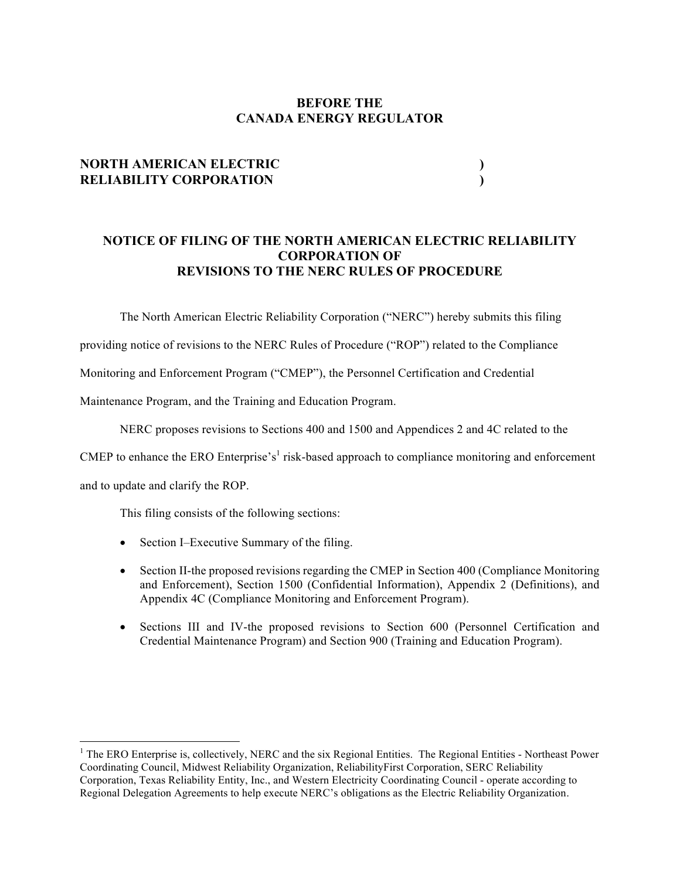# **BEFORE THE CANADA ENERGY REGULATOR**

# **NORTH AMERICAN ELECTRIC ) RELIABILITY CORPORATION )**

# **NOTICE OF FILING OF THE NORTH AMERICAN ELECTRIC RELIABILITY CORPORATION OF REVISIONS TO THE NERC RULES OF PROCEDURE**

The North American Electric Reliability Corporation ("NERC") hereby submits this filing

providing notice of revisions to the NERC Rules of Procedure ("ROP") related to the Compliance

Monitoring and Enforcement Program ("CMEP"), the Personnel Certification and Credential

Maintenance Program, and the Training and Education Program.

NERC proposes revisions to Sections 400 and 1500 and Appendices 2 and 4C related to the

CMEP to enhance the ERO Enterprise's<sup>1</sup> risk-based approach to compliance monitoring and enforcement

and to update and clarify the ROP.

<u> 1989 - Johann Barn, mars ann an t-Amhain an t-Amhain an t-Amhain an t-Amhain an t-Amhain an t-Amhain an t-Amh</u>

This filing consists of the following sections:

- Section I–Executive Summary of the filing.
- Section II-the proposed revisions regarding the CMEP in Section 400 (Compliance Monitoring and Enforcement), Section 1500 (Confidential Information), Appendix 2 (Definitions), and Appendix 4C (Compliance Monitoring and Enforcement Program).
- Sections III and IV-the proposed revisions to Section 600 (Personnel Certification and Credential Maintenance Program) and Section 900 (Training and Education Program).

<sup>&</sup>lt;sup>1</sup> The ERO Enterprise is, collectively, NERC and the six Regional Entities. The Regional Entities - Northeast Power Coordinating Council, Midwest Reliability Organization, ReliabilityFirst Corporation, SERC Reliability Corporation, Texas Reliability Entity, Inc., and Western Electricity Coordinating Council - operate according to Regional Delegation Agreements to help execute NERC's obligations as the Electric Reliability Organization.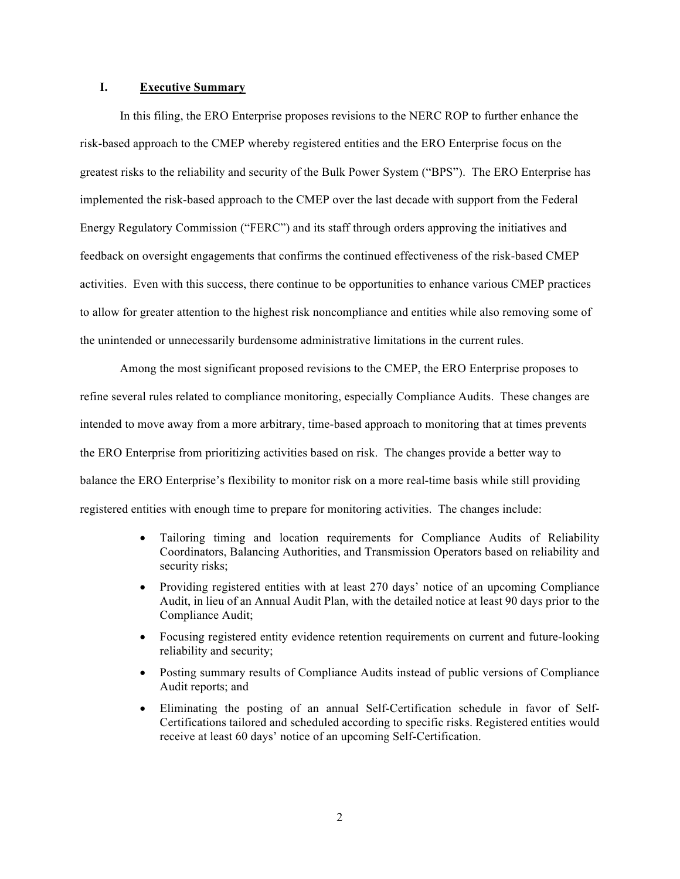### **I. Executive Summary**

In this filing, the ERO Enterprise proposes revisions to the NERC ROP to further enhance the risk-based approach to the CMEP whereby registered entities and the ERO Enterprise focus on the greatest risks to the reliability and security of the Bulk Power System ("BPS"). The ERO Enterprise has implemented the risk-based approach to the CMEP over the last decade with support from the Federal Energy Regulatory Commission ("FERC") and its staff through orders approving the initiatives and feedback on oversight engagements that confirms the continued effectiveness of the risk-based CMEP activities. Even with this success, there continue to be opportunities to enhance various CMEP practices to allow for greater attention to the highest risk noncompliance and entities while also removing some of the unintended or unnecessarily burdensome administrative limitations in the current rules.

Among the most significant proposed revisions to the CMEP, the ERO Enterprise proposes to refine several rules related to compliance monitoring, especially Compliance Audits. These changes are intended to move away from a more arbitrary, time-based approach to monitoring that at times prevents the ERO Enterprise from prioritizing activities based on risk. The changes provide a better way to balance the ERO Enterprise's flexibility to monitor risk on a more real-time basis while still providing registered entities with enough time to prepare for monitoring activities. The changes include:

- Tailoring timing and location requirements for Compliance Audits of Reliability Coordinators, Balancing Authorities, and Transmission Operators based on reliability and security risks;
- Providing registered entities with at least 270 days' notice of an upcoming Compliance Audit, in lieu of an Annual Audit Plan, with the detailed notice at least 90 days prior to the Compliance Audit;
- Focusing registered entity evidence retention requirements on current and future-looking reliability and security;
- Posting summary results of Compliance Audits instead of public versions of Compliance Audit reports; and
- Eliminating the posting of an annual Self-Certification schedule in favor of Self-Certifications tailored and scheduled according to specific risks. Registered entities would receive at least 60 days' notice of an upcoming Self-Certification.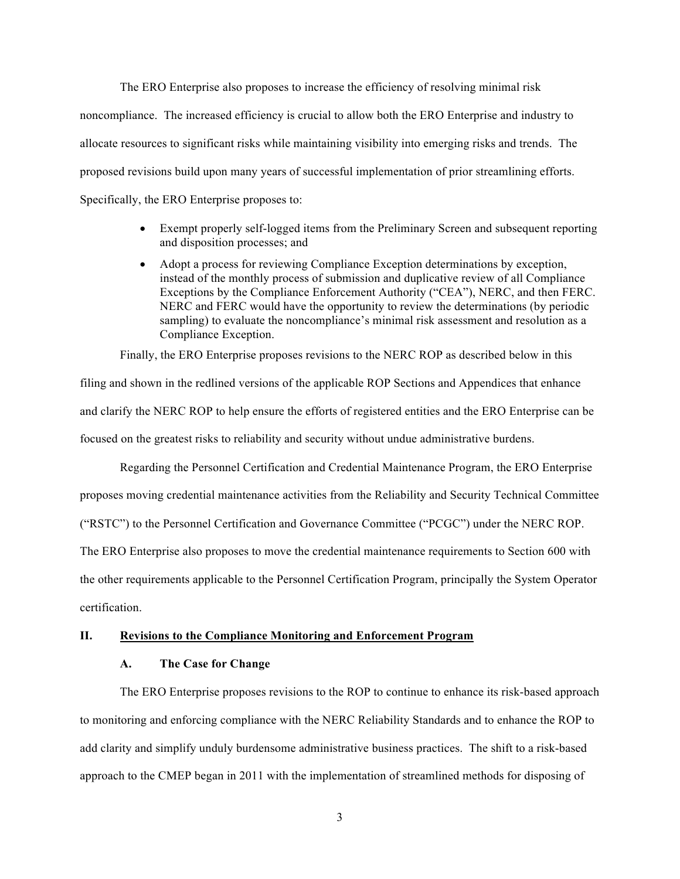The ERO Enterprise also proposes to increase the efficiency of resolving minimal risk noncompliance. The increased efficiency is crucial to allow both the ERO Enterprise and industry to allocate resources to significant risks while maintaining visibility into emerging risks and trends. The proposed revisions build upon many years of successful implementation of prior streamlining efforts. Specifically, the ERO Enterprise proposes to:

- Exempt properly self-logged items from the Preliminary Screen and subsequent reporting and disposition processes; and
- Adopt a process for reviewing Compliance Exception determinations by exception, instead of the monthly process of submission and duplicative review of all Compliance Exceptions by the Compliance Enforcement Authority ("CEA"), NERC, and then FERC. NERC and FERC would have the opportunity to review the determinations (by periodic sampling) to evaluate the noncompliance's minimal risk assessment and resolution as a Compliance Exception.

Finally, the ERO Enterprise proposes revisions to the NERC ROP as described below in this

filing and shown in the redlined versions of the applicable ROP Sections and Appendices that enhance and clarify the NERC ROP to help ensure the efforts of registered entities and the ERO Enterprise can be focused on the greatest risks to reliability and security without undue administrative burdens.

Regarding the Personnel Certification and Credential Maintenance Program, the ERO Enterprise

proposes moving credential maintenance activities from the Reliability and Security Technical Committee

("RSTC") to the Personnel Certification and Governance Committee ("PCGC") under the NERC ROP.

The ERO Enterprise also proposes to move the credential maintenance requirements to Section 600 with

the other requirements applicable to the Personnel Certification Program, principally the System Operator certification.

# **II. Revisions to the Compliance Monitoring and Enforcement Program**

#### **A. The Case for Change**

The ERO Enterprise proposes revisions to the ROP to continue to enhance its risk-based approach to monitoring and enforcing compliance with the NERC Reliability Standards and to enhance the ROP to add clarity and simplify unduly burdensome administrative business practices. The shift to a risk-based approach to the CMEP began in 2011 with the implementation of streamlined methods for disposing of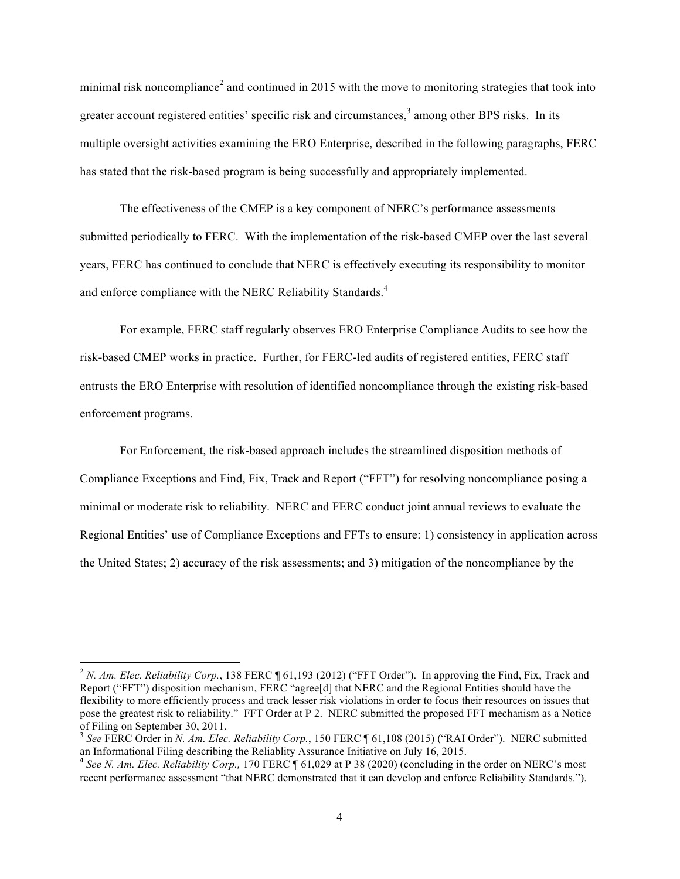minimal risk noncompliance<sup>2</sup> and continued in 2015 with the move to monitoring strategies that took into greater account registered entities' specific risk and circumstances,<sup>3</sup> among other BPS risks. In its multiple oversight activities examining the ERO Enterprise, described in the following paragraphs, FERC has stated that the risk-based program is being successfully and appropriately implemented.

The effectiveness of the CMEP is a key component of NERC's performance assessments submitted periodically to FERC. With the implementation of the risk-based CMEP over the last several years, FERC has continued to conclude that NERC is effectively executing its responsibility to monitor and enforce compliance with the NERC Reliability Standards.<sup>4</sup>

For example, FERC staff regularly observes ERO Enterprise Compliance Audits to see how the risk-based CMEP works in practice. Further, for FERC-led audits of registered entities, FERC staff entrusts the ERO Enterprise with resolution of identified noncompliance through the existing risk-based enforcement programs.

For Enforcement, the risk-based approach includes the streamlined disposition methods of Compliance Exceptions and Find, Fix, Track and Report ("FFT") for resolving noncompliance posing a minimal or moderate risk to reliability. NERC and FERC conduct joint annual reviews to evaluate the Regional Entities' use of Compliance Exceptions and FFTs to ensure: 1) consistency in application across the United States; 2) accuracy of the risk assessments; and 3) mitigation of the noncompliance by the

<sup>&</sup>lt;sup>2</sup> *N. Am. Elec. Reliability Corp.*, 138 FERC  $\P$  61,193 (2012) ("FFT Order"). In approving the Find, Fix, Track and Report ("FFT") disposition mechanism, FERC "agree[d] that NERC and the Regional Entities should have the flexibility to more efficiently process and track lesser risk violations in order to focus their resources on issues that pose the greatest risk to reliability." FFT Order at P 2. NERC submitted the proposed FFT mechanism as a Notice of Filing on September 30, 2011.

<sup>3</sup> *See* FERC Order in *N. Am. Elec. Reliability Corp.*, 150 FERC ¶ 61,108 (2015) ("RAI Order"). NERC submitted an Informational Filing describing the Reliablity Assurance Initiative on July 16, 2015.

<sup>4</sup> *See N. Am. Elec. Reliability Corp.,* 170 FERC ¶ 61,029 at P 38 (2020) (concluding in the order on NERC's most recent performance assessment "that NERC demonstrated that it can develop and enforce Reliability Standards.").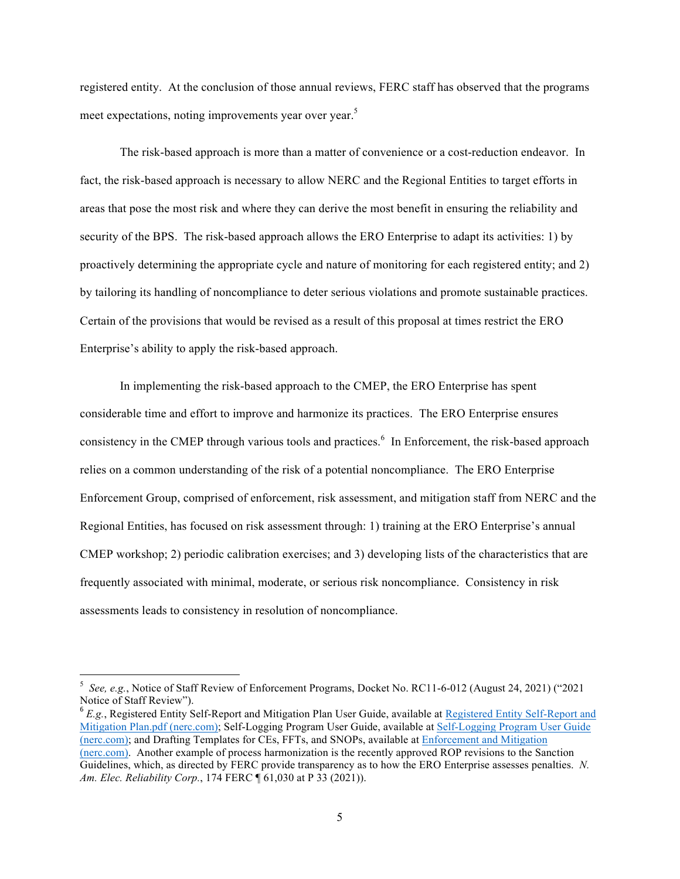registered entity. At the conclusion of those annual reviews, FERC staff has observed that the programs meet expectations, noting improvements year over year.<sup>5</sup>

The risk-based approach is more than a matter of convenience or a cost-reduction endeavor. In fact, the risk-based approach is necessary to allow NERC and the Regional Entities to target efforts in areas that pose the most risk and where they can derive the most benefit in ensuring the reliability and security of the BPS. The risk-based approach allows the ERO Enterprise to adapt its activities: 1) by proactively determining the appropriate cycle and nature of monitoring for each registered entity; and 2) by tailoring its handling of noncompliance to deter serious violations and promote sustainable practices. Certain of the provisions that would be revised as a result of this proposal at times restrict the ERO Enterprise's ability to apply the risk-based approach.

In implementing the risk-based approach to the CMEP, the ERO Enterprise has spent considerable time and effort to improve and harmonize its practices. The ERO Enterprise ensures consistency in the CMEP through various tools and practices.<sup>6</sup> In Enforcement, the risk-based approach relies on a common understanding of the risk of a potential noncompliance. The ERO Enterprise Enforcement Group, comprised of enforcement, risk assessment, and mitigation staff from NERC and the Regional Entities, has focused on risk assessment through: 1) training at the ERO Enterprise's annual CMEP workshop; 2) periodic calibration exercises; and 3) developing lists of the characteristics that are frequently associated with minimal, moderate, or serious risk noncompliance. Consistency in risk assessments leads to consistency in resolution of noncompliance.

<sup>5</sup> *See, e.g.*, Notice of Staff Review of Enforcement Programs, Docket No. RC11-6-012 (August 24, 2021) ("2021 Notice of Staff Review").<br><sup>6</sup> *E.g.*, Registered Entity Self-Report and Mitigation Plan User Guide, available at Registered Entity Self-Report and

Mitigation Plan.pdf (nerc.com); Self-Logging Program User Guide, available at Self-Logging Program User Guide (nerc.com); and Drafting Templates for CEs, FFTs, and SNOPs, available at Enforcement and Mitigation (nerc.com). Another example of process harmonization is the recently approved ROP revisions to the Sanction Guidelines, which, as directed by FERC provide transparency as to how the ERO Enterprise assesses penalties. *N. Am. Elec. Reliability Corp.*, 174 FERC ¶ 61,030 at P 33 (2021)).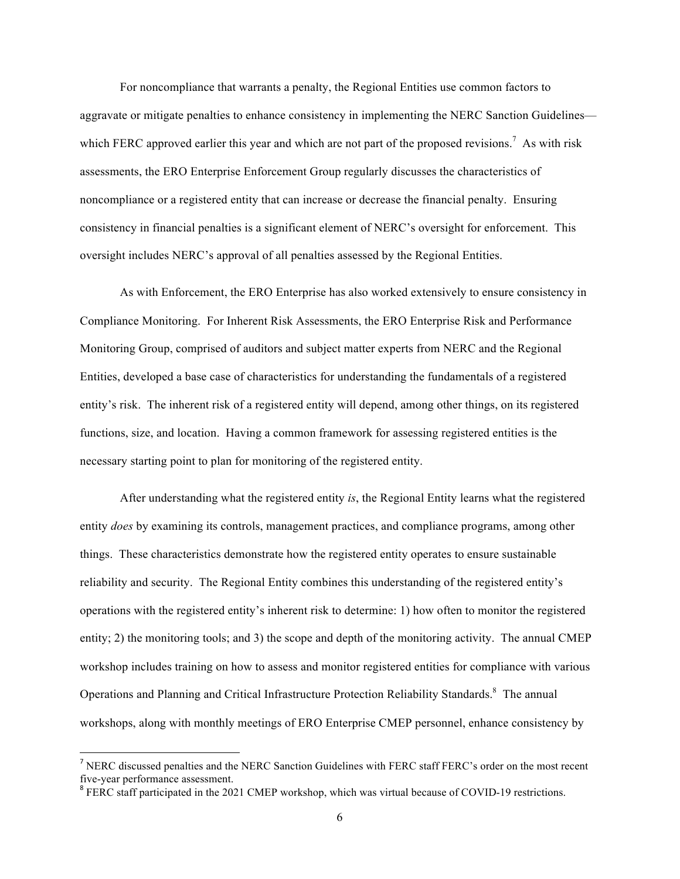For noncompliance that warrants a penalty, the Regional Entities use common factors to aggravate or mitigate penalties to enhance consistency in implementing the NERC Sanction Guidelines which FERC approved earlier this year and which are not part of the proposed revisions.<sup>7</sup> As with risk assessments, the ERO Enterprise Enforcement Group regularly discusses the characteristics of noncompliance or a registered entity that can increase or decrease the financial penalty. Ensuring consistency in financial penalties is a significant element of NERC's oversight for enforcement. This oversight includes NERC's approval of all penalties assessed by the Regional Entities.

As with Enforcement, the ERO Enterprise has also worked extensively to ensure consistency in Compliance Monitoring. For Inherent Risk Assessments, the ERO Enterprise Risk and Performance Monitoring Group, comprised of auditors and subject matter experts from NERC and the Regional Entities, developed a base case of characteristics for understanding the fundamentals of a registered entity's risk. The inherent risk of a registered entity will depend, among other things, on its registered functions, size, and location. Having a common framework for assessing registered entities is the necessary starting point to plan for monitoring of the registered entity.

After understanding what the registered entity *is*, the Regional Entity learns what the registered entity *does* by examining its controls, management practices, and compliance programs, among other things. These characteristics demonstrate how the registered entity operates to ensure sustainable reliability and security. The Regional Entity combines this understanding of the registered entity's operations with the registered entity's inherent risk to determine: 1) how often to monitor the registered entity; 2) the monitoring tools; and 3) the scope and depth of the monitoring activity. The annual CMEP workshop includes training on how to assess and monitor registered entities for compliance with various Operations and Planning and Critical Infrastructure Protection Reliability Standards.<sup>8</sup> The annual workshops, along with monthly meetings of ERO Enterprise CMEP personnel, enhance consistency by

<sup>&</sup>lt;sup>7</sup> NERC discussed penalties and the NERC Sanction Guidelines with FERC staff FERC's order on the most recent five-year performance assessment.<br><sup>8</sup> FERC staff participated in the 2021 CMEP workshop, which was virtual because of COVID-19 restrictions.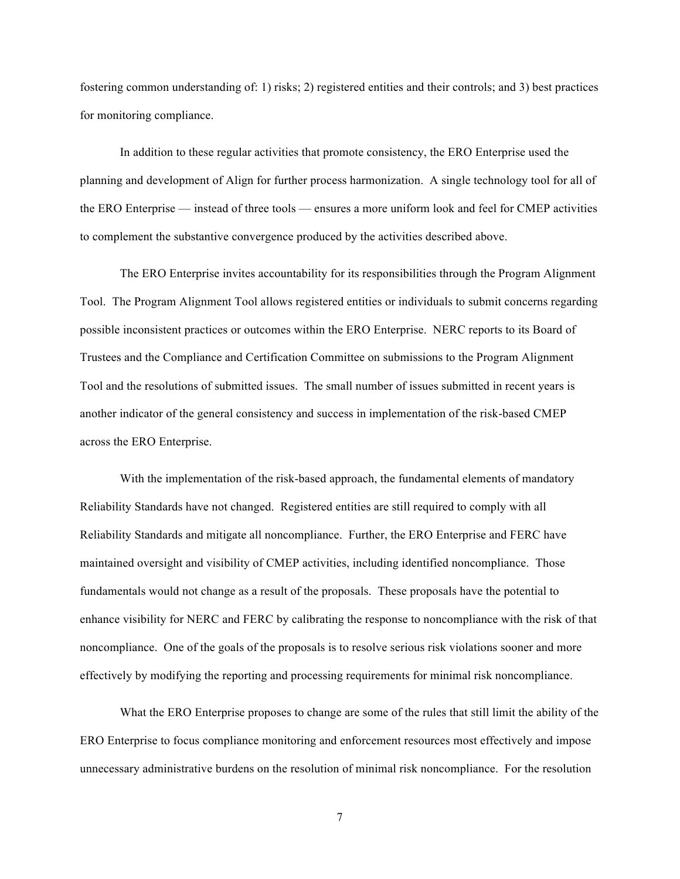fostering common understanding of: 1) risks; 2) registered entities and their controls; and 3) best practices for monitoring compliance.

In addition to these regular activities that promote consistency, the ERO Enterprise used the planning and development of Align for further process harmonization. A single technology tool for all of the ERO Enterprise — instead of three tools — ensures a more uniform look and feel for CMEP activities to complement the substantive convergence produced by the activities described above.

The ERO Enterprise invites accountability for its responsibilities through the Program Alignment Tool. The Program Alignment Tool allows registered entities or individuals to submit concerns regarding possible inconsistent practices or outcomes within the ERO Enterprise. NERC reports to its Board of Trustees and the Compliance and Certification Committee on submissions to the Program Alignment Tool and the resolutions of submitted issues. The small number of issues submitted in recent years is another indicator of the general consistency and success in implementation of the risk-based CMEP across the ERO Enterprise.

With the implementation of the risk-based approach, the fundamental elements of mandatory Reliability Standards have not changed. Registered entities are still required to comply with all Reliability Standards and mitigate all noncompliance. Further, the ERO Enterprise and FERC have maintained oversight and visibility of CMEP activities, including identified noncompliance. Those fundamentals would not change as a result of the proposals. These proposals have the potential to enhance visibility for NERC and FERC by calibrating the response to noncompliance with the risk of that noncompliance. One of the goals of the proposals is to resolve serious risk violations sooner and more effectively by modifying the reporting and processing requirements for minimal risk noncompliance.

What the ERO Enterprise proposes to change are some of the rules that still limit the ability of the ERO Enterprise to focus compliance monitoring and enforcement resources most effectively and impose unnecessary administrative burdens on the resolution of minimal risk noncompliance. For the resolution

7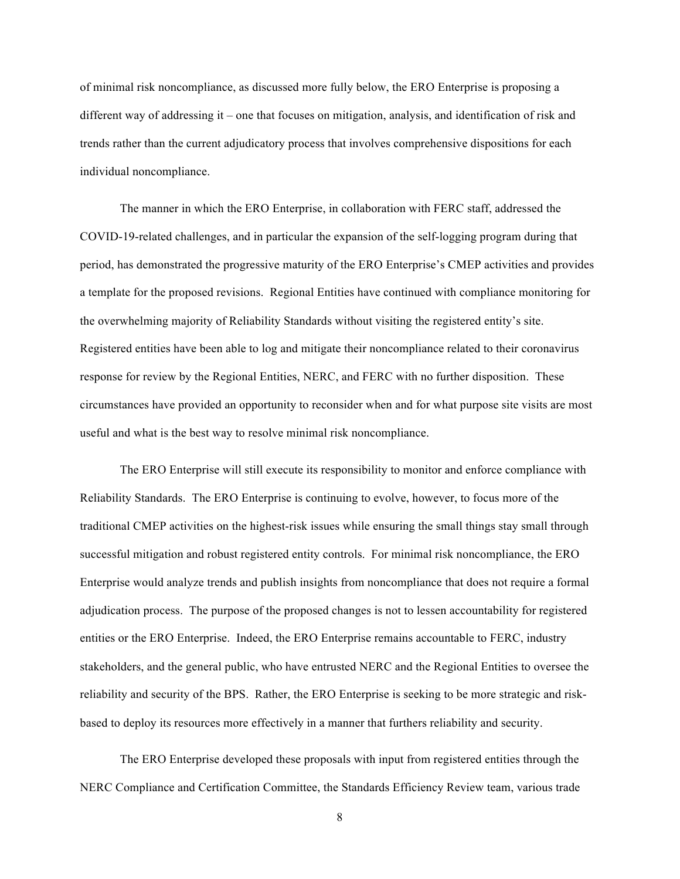of minimal risk noncompliance, as discussed more fully below, the ERO Enterprise is proposing a different way of addressing it – one that focuses on mitigation, analysis, and identification of risk and trends rather than the current adjudicatory process that involves comprehensive dispositions for each individual noncompliance.

The manner in which the ERO Enterprise, in collaboration with FERC staff, addressed the COVID-19-related challenges, and in particular the expansion of the self-logging program during that period, has demonstrated the progressive maturity of the ERO Enterprise's CMEP activities and provides a template for the proposed revisions. Regional Entities have continued with compliance monitoring for the overwhelming majority of Reliability Standards without visiting the registered entity's site. Registered entities have been able to log and mitigate their noncompliance related to their coronavirus response for review by the Regional Entities, NERC, and FERC with no further disposition. These circumstances have provided an opportunity to reconsider when and for what purpose site visits are most useful and what is the best way to resolve minimal risk noncompliance.

The ERO Enterprise will still execute its responsibility to monitor and enforce compliance with Reliability Standards. The ERO Enterprise is continuing to evolve, however, to focus more of the traditional CMEP activities on the highest-risk issues while ensuring the small things stay small through successful mitigation and robust registered entity controls. For minimal risk noncompliance, the ERO Enterprise would analyze trends and publish insights from noncompliance that does not require a formal adjudication process. The purpose of the proposed changes is not to lessen accountability for registered entities or the ERO Enterprise. Indeed, the ERO Enterprise remains accountable to FERC, industry stakeholders, and the general public, who have entrusted NERC and the Regional Entities to oversee the reliability and security of the BPS. Rather, the ERO Enterprise is seeking to be more strategic and riskbased to deploy its resources more effectively in a manner that furthers reliability and security.

The ERO Enterprise developed these proposals with input from registered entities through the NERC Compliance and Certification Committee, the Standards Efficiency Review team, various trade

8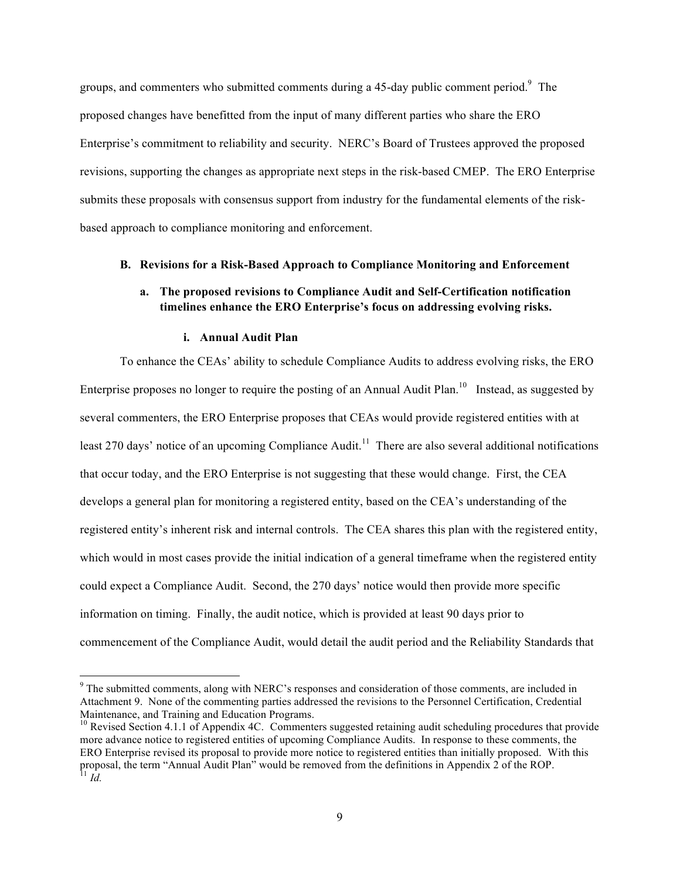groups, and commenters who submitted comments during a 45-day public comment period. $9$  The proposed changes have benefitted from the input of many different parties who share the ERO Enterprise's commitment to reliability and security. NERC's Board of Trustees approved the proposed revisions, supporting the changes as appropriate next steps in the risk-based CMEP. The ERO Enterprise submits these proposals with consensus support from industry for the fundamental elements of the riskbased approach to compliance monitoring and enforcement.

### **B. Revisions for a Risk-Based Approach to Compliance Monitoring and Enforcement**

### **a. The proposed revisions to Compliance Audit and Self-Certification notification timelines enhance the ERO Enterprise's focus on addressing evolving risks.**

#### **i. Annual Audit Plan**

<u> 1989 - Johann Barn, mars ann an t-Amhain an t-Amhain an t-Amhain an t-Amhain an t-Amhain an t-Amhain an t-Amh</u>

To enhance the CEAs' ability to schedule Compliance Audits to address evolving risks, the ERO Enterprise proposes no longer to require the posting of an Annual Audit Plan.<sup>10</sup> Instead, as suggested by several commenters, the ERO Enterprise proposes that CEAs would provide registered entities with at least 270 days' notice of an upcoming Compliance Audit.<sup>11</sup> There are also several additional notifications that occur today, and the ERO Enterprise is not suggesting that these would change. First, the CEA develops a general plan for monitoring a registered entity, based on the CEA's understanding of the registered entity's inherent risk and internal controls. The CEA shares this plan with the registered entity, which would in most cases provide the initial indication of a general timeframe when the registered entity could expect a Compliance Audit. Second, the 270 days' notice would then provide more specific information on timing. Finally, the audit notice, which is provided at least 90 days prior to commencement of the Compliance Audit, would detail the audit period and the Reliability Standards that

<sup>&</sup>lt;sup>9</sup> The submitted comments, along with NERC's responses and consideration of those comments, are included in Attachment 9. None of the commenting parties addressed the revisions to the Personnel Certification, Credential Maintenance, and Training and Education Programs.

<sup>&</sup>lt;sup>10</sup> Revised Section 4.1.1 of Appendix 4C. Commenters suggested retaining audit scheduling procedures that provide more advance notice to registered entities of upcoming Compliance Audits. In response to these comments, the ERO Enterprise revised its proposal to provide more notice to registered entities than initially proposed. With this proposal, the term "Annual Audit Plan" would be removed from the definitions in Appendix 2 of the ROP. <sup>11</sup> *Id.*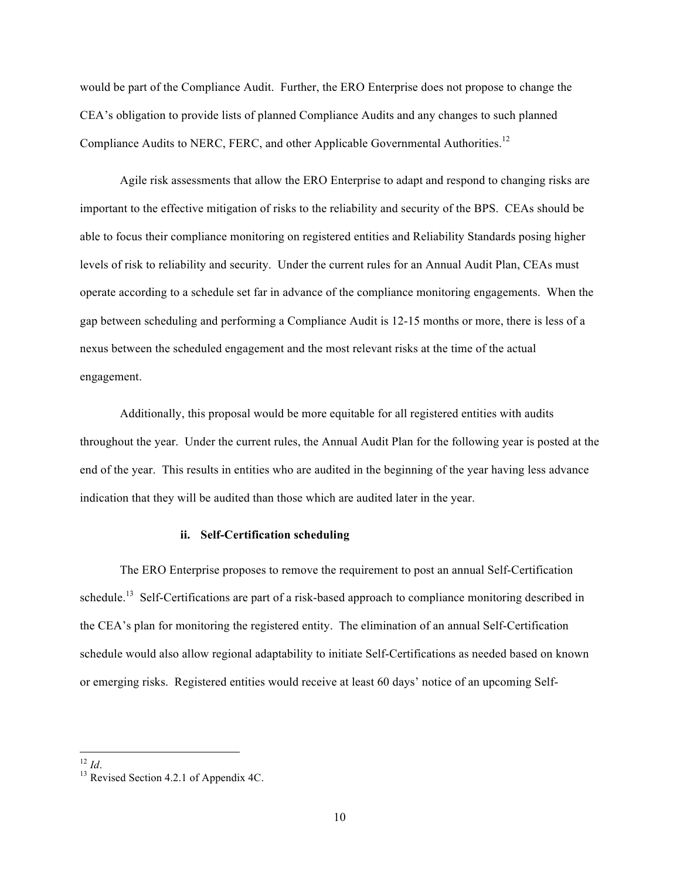would be part of the Compliance Audit. Further, the ERO Enterprise does not propose to change the CEA's obligation to provide lists of planned Compliance Audits and any changes to such planned Compliance Audits to NERC, FERC, and other Applicable Governmental Authorities.<sup>12</sup>

Agile risk assessments that allow the ERO Enterprise to adapt and respond to changing risks are important to the effective mitigation of risks to the reliability and security of the BPS. CEAs should be able to focus their compliance monitoring on registered entities and Reliability Standards posing higher levels of risk to reliability and security. Under the current rules for an Annual Audit Plan, CEAs must operate according to a schedule set far in advance of the compliance monitoring engagements. When the gap between scheduling and performing a Compliance Audit is 12-15 months or more, there is less of a nexus between the scheduled engagement and the most relevant risks at the time of the actual engagement.

Additionally, this proposal would be more equitable for all registered entities with audits throughout the year. Under the current rules, the Annual Audit Plan for the following year is posted at the end of the year. This results in entities who are audited in the beginning of the year having less advance indication that they will be audited than those which are audited later in the year.

#### **ii. Self-Certification scheduling**

The ERO Enterprise proposes to remove the requirement to post an annual Self-Certification schedule.<sup>13</sup> Self-Certifications are part of a risk-based approach to compliance monitoring described in the CEA's plan for monitoring the registered entity. The elimination of an annual Self-Certification schedule would also allow regional adaptability to initiate Self-Certifications as needed based on known or emerging risks. Registered entities would receive at least 60 days' notice of an upcoming Self-

<sup>&</sup>lt;u> 1989 - Johann Barn, mars ann an t-Amhain an t-Amhain an t-Amhain an t-Amhain an t-Amhain an t-Amhain an t-Amh</u>

<sup>&</sup>lt;sup>12</sup> *Id*. <sup>13</sup> Revised Section 4.2.1 of Appendix 4C.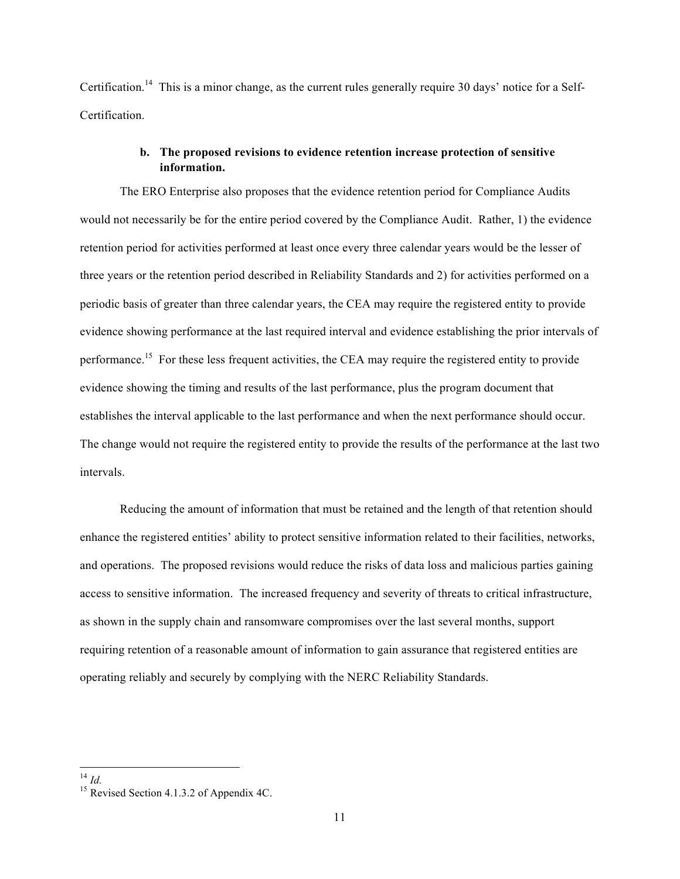Certification.<sup>14</sup> This is a minor change, as the current rules generally require 30 days' notice for a Self-**Certification** 

# **b. The proposed revisions to evidence retention increase protection of sensitive information.**

The ERO Enterprise also proposes that the evidence retention period for Compliance Audits would not necessarily be for the entire period covered by the Compliance Audit. Rather, 1) the evidence retention period for activities performed at least once every three calendar years would be the lesser of three years or the retention period described in Reliability Standards and 2) for activities performed on a periodic basis of greater than three calendar years, the CEA may require the registered entity to provide evidence showing performance at the last required interval and evidence establishing the prior intervals of performance.<sup>15</sup> For these less frequent activities, the CEA may require the registered entity to provide evidence showing the timing and results of the last performance, plus the program document that establishes the interval applicable to the last performance and when the next performance should occur. The change would not require the registered entity to provide the results of the performance at the last two intervals.

Reducing the amount of information that must be retained and the length of that retention should enhance the registered entities' ability to protect sensitive information related to their facilities, networks, and operations. The proposed revisions would reduce the risks of data loss and malicious parties gaining access to sensitive information. The increased frequency and severity of threats to critical infrastructure, as shown in the supply chain and ransomware compromises over the last several months, support requiring retention of a reasonable amount of information to gain assurance that registered entities are operating reliably and securely by complying with the NERC Reliability Standards.

 $^{14}$  *Id.* 15 Revised Section 4.1.3.2 of Appendix 4C.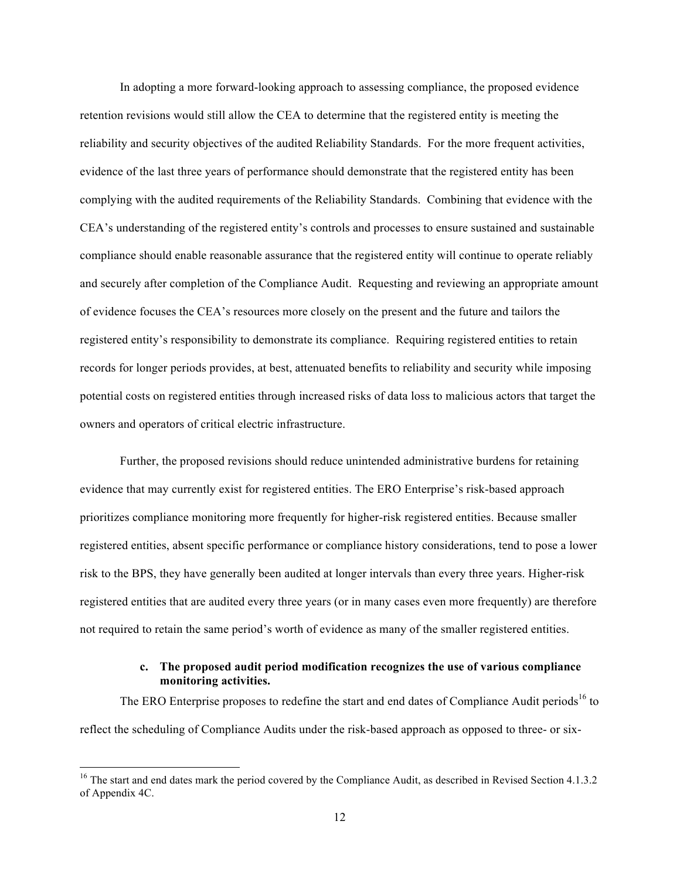In adopting a more forward-looking approach to assessing compliance, the proposed evidence retention revisions would still allow the CEA to determine that the registered entity is meeting the reliability and security objectives of the audited Reliability Standards. For the more frequent activities, evidence of the last three years of performance should demonstrate that the registered entity has been complying with the audited requirements of the Reliability Standards. Combining that evidence with the CEA's understanding of the registered entity's controls and processes to ensure sustained and sustainable compliance should enable reasonable assurance that the registered entity will continue to operate reliably and securely after completion of the Compliance Audit. Requesting and reviewing an appropriate amount of evidence focuses the CEA's resources more closely on the present and the future and tailors the registered entity's responsibility to demonstrate its compliance. Requiring registered entities to retain records for longer periods provides, at best, attenuated benefits to reliability and security while imposing potential costs on registered entities through increased risks of data loss to malicious actors that target the owners and operators of critical electric infrastructure.

Further, the proposed revisions should reduce unintended administrative burdens for retaining evidence that may currently exist for registered entities. The ERO Enterprise's risk-based approach prioritizes compliance monitoring more frequently for higher-risk registered entities. Because smaller registered entities, absent specific performance or compliance history considerations, tend to pose a lower risk to the BPS, they have generally been audited at longer intervals than every three years. Higher-risk registered entities that are audited every three years (or in many cases even more frequently) are therefore not required to retain the same period's worth of evidence as many of the smaller registered entities.

# **c. The proposed audit period modification recognizes the use of various compliance monitoring activities.**

The ERO Enterprise proposes to redefine the start and end dates of Compliance Audit periods<sup>16</sup> to reflect the scheduling of Compliance Audits under the risk-based approach as opposed to three- or six-

<sup>&</sup>lt;sup>16</sup> The start and end dates mark the period covered by the Compliance Audit, as described in Revised Section 4.1.3.2 of Appendix 4C.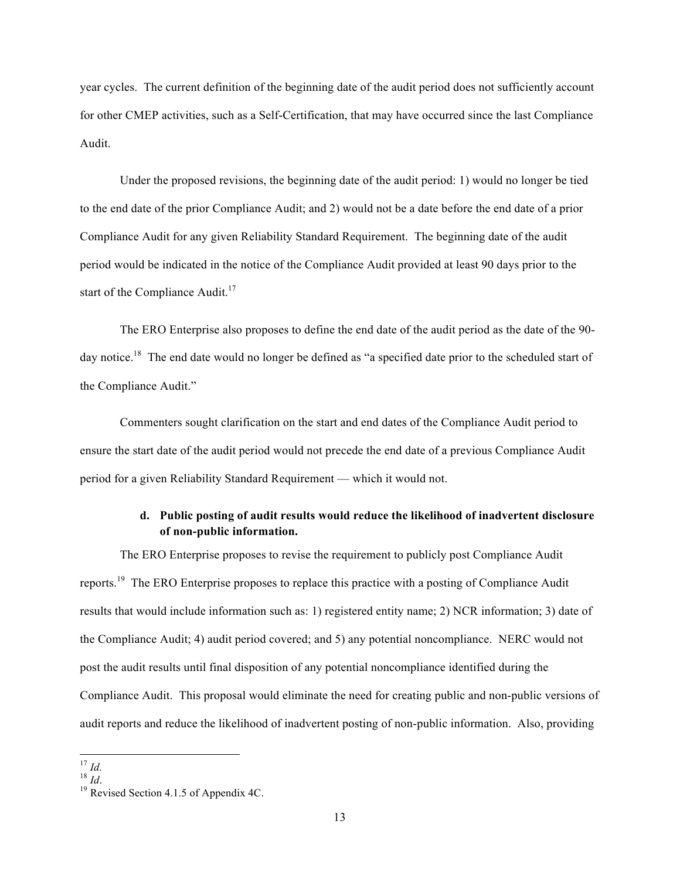year cycles. The current definition of the beginning date of the audit period does not sufficiently account for other CMEP activities, such as a Self-Certification, that may have occurred since the last Compliance Audit.

Under the proposed revisions, the beginning date of the audit period: 1) would no longer be tied to the end date of the prior Compliance Audit; and 2) would not be a date before the end date of a prior Compliance Audit for any given Reliability Standard Requirement. The beginning date of the audit period would be indicated in the notice of the Compliance Audit provided at least 90 days prior to the start of the Compliance Audit.<sup>17</sup>

The ERO Enterprise also proposes to define the end date of the audit period as the date of the 90 day notice.<sup>18</sup> The end date would no longer be defined as "a specified date prior to the scheduled start of the Compliance Audit."

Commenters sought clarification on the start and end dates of the Compliance Audit period to ensure the start date of the audit period would not precede the end date of a previous Compliance Audit period for a given Reliability Standard Requirement — which it would not.

# **d. Public posting of audit results would reduce the likelihood of inadvertent disclosure of non-public information.**

The ERO Enterprise proposes to revise the requirement to publicly post Compliance Audit reports.<sup>19</sup> The ERO Enterprise proposes to replace this practice with a posting of Compliance Audit results that would include information such as: 1) registered entity name; 2) NCR information; 3) date of the Compliance Audit; 4) audit period covered; and 5) any potential noncompliance. NERC would not post the audit results until final disposition of any potential noncompliance identified during the Compliance Audit. This proposal would eliminate the need for creating public and non-public versions of audit reports and reduce the likelihood of inadvertent posting of non-public information. Also, providing

<sup>&</sup>lt;sup>17</sup> *Id.* <sup>18</sup> *Id.* <sup>18</sup> *Id.* <sup>18</sup> Revised Section 4.1.5 of Appendix 4C.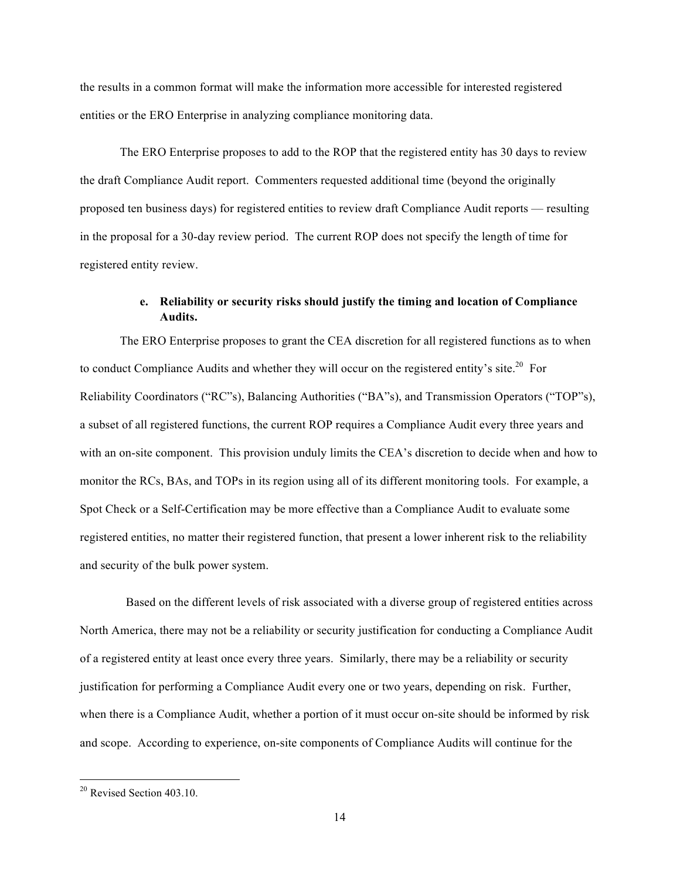the results in a common format will make the information more accessible for interested registered entities or the ERO Enterprise in analyzing compliance monitoring data.

The ERO Enterprise proposes to add to the ROP that the registered entity has 30 days to review the draft Compliance Audit report. Commenters requested additional time (beyond the originally proposed ten business days) for registered entities to review draft Compliance Audit reports — resulting in the proposal for a 30-day review period. The current ROP does not specify the length of time for registered entity review.

# **e. Reliability or security risks should justify the timing and location of Compliance Audits.**

The ERO Enterprise proposes to grant the CEA discretion for all registered functions as to when to conduct Compliance Audits and whether they will occur on the registered entity's site.<sup>20</sup> For Reliability Coordinators ("RC"s), Balancing Authorities ("BA"s), and Transmission Operators ("TOP"s), a subset of all registered functions, the current ROP requires a Compliance Audit every three years and with an on-site component. This provision unduly limits the CEA's discretion to decide when and how to monitor the RCs, BAs, and TOPs in its region using all of its different monitoring tools. For example, a Spot Check or a Self-Certification may be more effective than a Compliance Audit to evaluate some registered entities, no matter their registered function, that present a lower inherent risk to the reliability and security of the bulk power system.

 Based on the different levels of risk associated with a diverse group of registered entities across North America, there may not be a reliability or security justification for conducting a Compliance Audit of a registered entity at least once every three years. Similarly, there may be a reliability or security justification for performing a Compliance Audit every one or two years, depending on risk. Further, when there is a Compliance Audit, whether a portion of it must occur on-site should be informed by risk and scope. According to experience, on-site components of Compliance Audits will continue for the

<sup>&</sup>lt;sup>20</sup> Revised Section 403.10.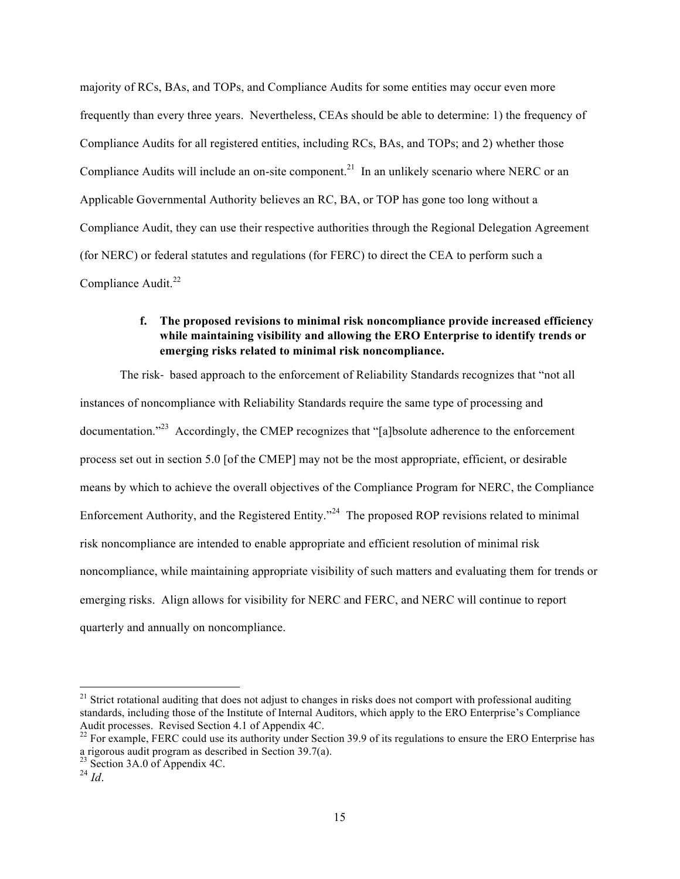majority of RCs, BAs, and TOPs, and Compliance Audits for some entities may occur even more frequently than every three years. Nevertheless, CEAs should be able to determine: 1) the frequency of Compliance Audits for all registered entities, including RCs, BAs, and TOPs; and 2) whether those Compliance Audits will include an on-site component.<sup>21</sup> In an unlikely scenario where NERC or an Applicable Governmental Authority believes an RC, BA, or TOP has gone too long without a Compliance Audit, they can use their respective authorities through the Regional Delegation Agreement (for NERC) or federal statutes and regulations (for FERC) to direct the CEA to perform such a Compliance Audit. $^{22}$ 

# **f. The proposed revisions to minimal risk noncompliance provide increased efficiency while maintaining visibility and allowing the ERO Enterprise to identify trends or emerging risks related to minimal risk noncompliance.**

The risk- based approach to the enforcement of Reliability Standards recognizes that "not all instances of noncompliance with Reliability Standards require the same type of processing and documentation."<sup>23</sup> Accordingly, the CMEP recognizes that "[a]bsolute adherence to the enforcement process set out in section 5.0 [of the CMEP] may not be the most appropriate, efficient, or desirable means by which to achieve the overall objectives of the Compliance Program for NERC, the Compliance Enforcement Authority, and the Registered Entity."24 The proposed ROP revisions related to minimal risk noncompliance are intended to enable appropriate and efficient resolution of minimal risk noncompliance, while maintaining appropriate visibility of such matters and evaluating them for trends or emerging risks. Align allows for visibility for NERC and FERC, and NERC will continue to report quarterly and annually on noncompliance.

 $21$  Strict rotational auditing that does not adjust to changes in risks does not comport with professional auditing standards, including those of the Institute of Internal Auditors, which apply to the ERO Enterprise's Compliance Audit processes. Revised Section 4.1 of Appendix 4C.

<sup>&</sup>lt;sup>22</sup> For example, FERC could use its authority under Section 39.9 of its regulations to ensure the ERO Enterprise has a rigorous audit program as described in Section 39.7(a).

<sup>&</sup>lt;sup>23</sup> Section 3A.0 of Appendix 4C.

 $^{24}$  *Id*.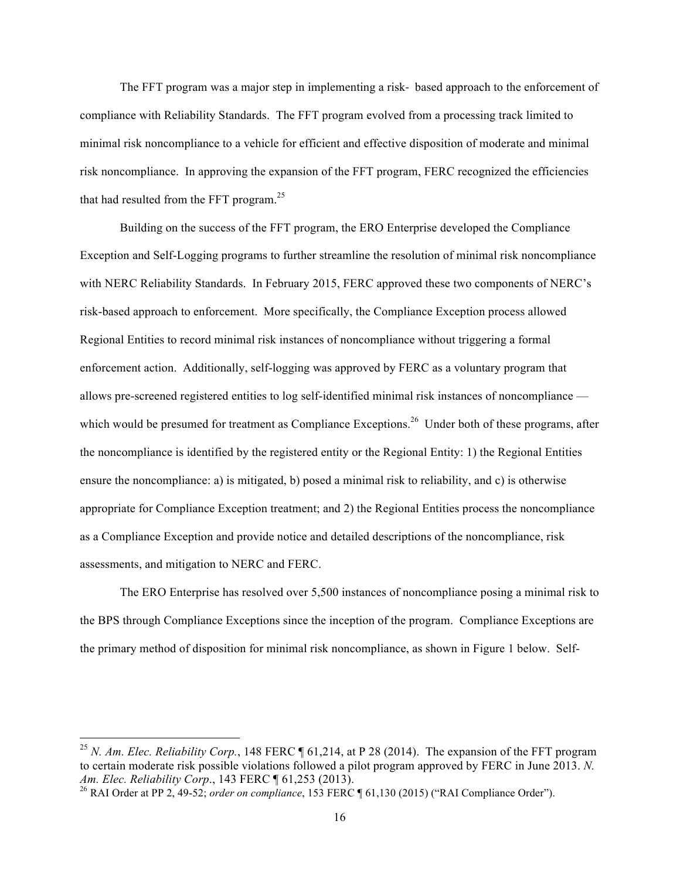The FFT program was a major step in implementing a risk- based approach to the enforcement of compliance with Reliability Standards. The FFT program evolved from a processing track limited to minimal risk noncompliance to a vehicle for efficient and effective disposition of moderate and minimal risk noncompliance. In approving the expansion of the FFT program, FERC recognized the efficiencies that had resulted from the FFT program. $25$ 

Building on the success of the FFT program, the ERO Enterprise developed the Compliance Exception and Self-Logging programs to further streamline the resolution of minimal risk noncompliance with NERC Reliability Standards. In February 2015, FERC approved these two components of NERC's risk-based approach to enforcement. More specifically, the Compliance Exception process allowed Regional Entities to record minimal risk instances of noncompliance without triggering a formal enforcement action. Additionally, self-logging was approved by FERC as a voluntary program that allows pre-screened registered entities to log self-identified minimal risk instances of noncompliance which would be presumed for treatment as Compliance Exceptions.<sup>26</sup> Under both of these programs, after the noncompliance is identified by the registered entity or the Regional Entity: 1) the Regional Entities ensure the noncompliance: a) is mitigated, b) posed a minimal risk to reliability, and c) is otherwise appropriate for Compliance Exception treatment; and 2) the Regional Entities process the noncompliance as a Compliance Exception and provide notice and detailed descriptions of the noncompliance, risk assessments, and mitigation to NERC and FERC.

The ERO Enterprise has resolved over 5,500 instances of noncompliance posing a minimal risk to the BPS through Compliance Exceptions since the inception of the program. Compliance Exceptions are the primary method of disposition for minimal risk noncompliance, as shown in Figure 1 below. Self-

<sup>25</sup> *N. Am. Elec. Reliability Corp.*, 148 FERC ¶ 61,214, at P 28 (2014). The expansion of the FFT program to certain moderate risk possible violations followed a pilot program approved by FERC in June 2013. *N.*<br>Am. Elec. Reliability Corp., 143 FERC ¶ 61,253 (2013).

<sup>&</sup>lt;sup>26</sup> RAI Order at PP 2, 49-52; *order on compliance*, 153 FERC ¶ 61,130 (2015) ("RAI Compliance Order").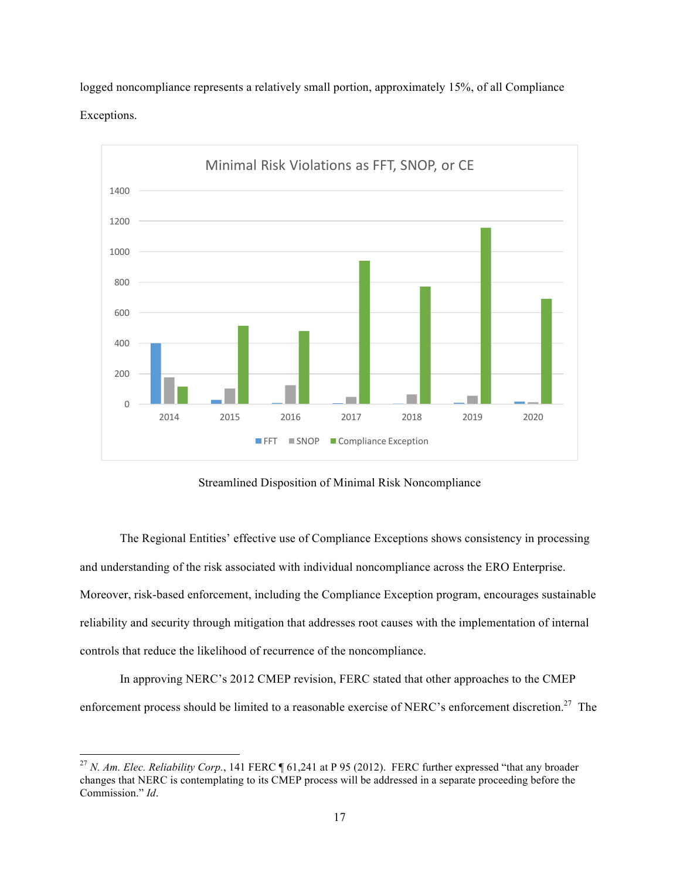logged noncompliance represents a relatively small portion, approximately 15%, of all Compliance Exceptions.



Streamlined Disposition of Minimal Risk Noncompliance

The Regional Entities' effective use of Compliance Exceptions shows consistency in processing and understanding of the risk associated with individual noncompliance across the ERO Enterprise. Moreover, risk-based enforcement, including the Compliance Exception program, encourages sustainable reliability and security through mitigation that addresses root causes with the implementation of internal controls that reduce the likelihood of recurrence of the noncompliance.

In approving NERC's 2012 CMEP revision, FERC stated that other approaches to the CMEP enforcement process should be limited to a reasonable exercise of NERC's enforcement discretion.<sup>27</sup> The

 

<sup>27</sup> *N. Am. Elec. Reliability Corp.*, 141 FERC ¶ 61,241 at P 95 (2012). FERC further expressed "that any broader changes that NERC is contemplating to its CMEP process will be addressed in a separate proceeding before the Commission." *Id*.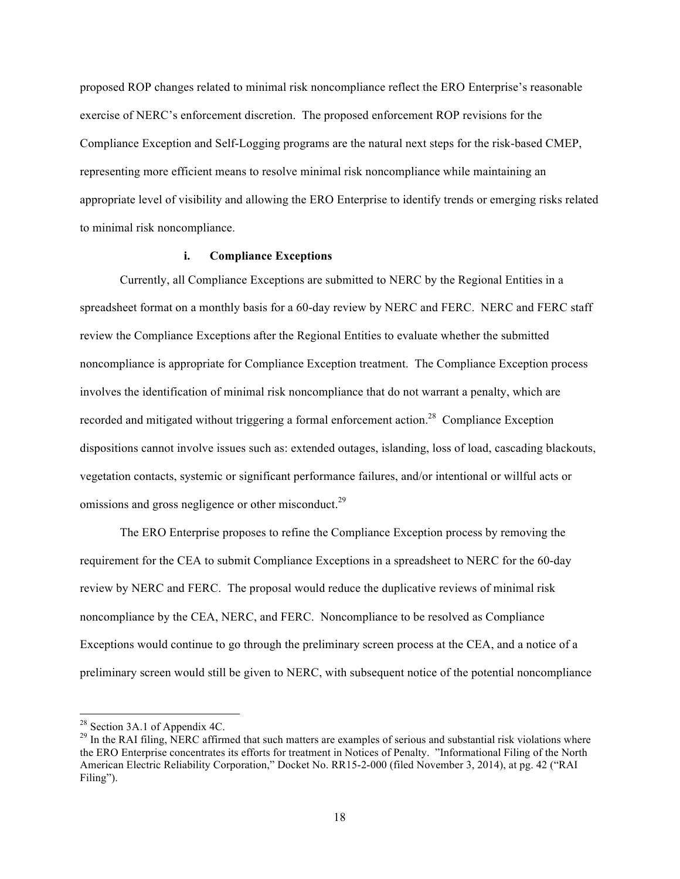proposed ROP changes related to minimal risk noncompliance reflect the ERO Enterprise's reasonable exercise of NERC's enforcement discretion. The proposed enforcement ROP revisions for the Compliance Exception and Self-Logging programs are the natural next steps for the risk-based CMEP, representing more efficient means to resolve minimal risk noncompliance while maintaining an appropriate level of visibility and allowing the ERO Enterprise to identify trends or emerging risks related to minimal risk noncompliance.

### **i. Compliance Exceptions**

Currently, all Compliance Exceptions are submitted to NERC by the Regional Entities in a spreadsheet format on a monthly basis for a 60-day review by NERC and FERC. NERC and FERC staff review the Compliance Exceptions after the Regional Entities to evaluate whether the submitted noncompliance is appropriate for Compliance Exception treatment. The Compliance Exception process involves the identification of minimal risk noncompliance that do not warrant a penalty, which are recorded and mitigated without triggering a formal enforcement action.<sup>28</sup> Compliance Exception dispositions cannot involve issues such as: extended outages, islanding, loss of load, cascading blackouts, vegetation contacts, systemic or significant performance failures, and/or intentional or willful acts or omissions and gross negligence or other misconduct.<sup>29</sup>

The ERO Enterprise proposes to refine the Compliance Exception process by removing the requirement for the CEA to submit Compliance Exceptions in a spreadsheet to NERC for the 60-day review by NERC and FERC. The proposal would reduce the duplicative reviews of minimal risk noncompliance by the CEA, NERC, and FERC. Noncompliance to be resolved as Compliance Exceptions would continue to go through the preliminary screen process at the CEA, and a notice of a preliminary screen would still be given to NERC, with subsequent notice of the potential noncompliance

<sup>&</sup>lt;sup>28</sup> Section 3A.1 of Appendix 4C.<br><sup>29</sup> In the RAI filing, NERC affirmed that such matters are examples of serious and substantial risk violations where the ERO Enterprise concentrates its efforts for treatment in Notices of Penalty. "Informational Filing of the North American Electric Reliability Corporation," Docket No. RR15-2-000 (filed November 3, 2014), at pg. 42 ("RAI Filing").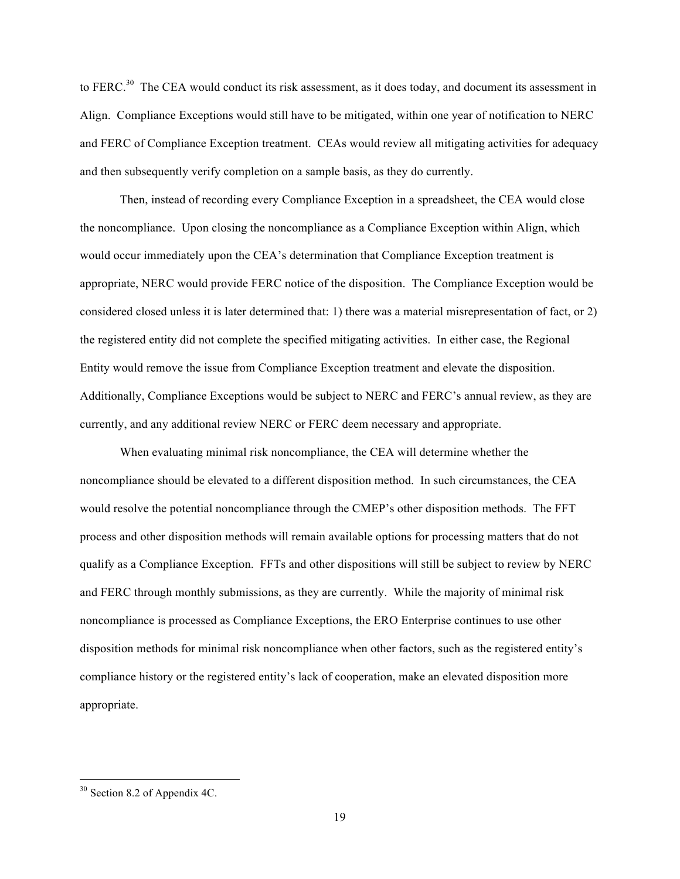to FERC.<sup>30</sup> The CEA would conduct its risk assessment, as it does today, and document its assessment in Align. Compliance Exceptions would still have to be mitigated, within one year of notification to NERC and FERC of Compliance Exception treatment. CEAs would review all mitigating activities for adequacy and then subsequently verify completion on a sample basis, as they do currently.

Then, instead of recording every Compliance Exception in a spreadsheet, the CEA would close the noncompliance. Upon closing the noncompliance as a Compliance Exception within Align, which would occur immediately upon the CEA's determination that Compliance Exception treatment is appropriate, NERC would provide FERC notice of the disposition. The Compliance Exception would be considered closed unless it is later determined that: 1) there was a material misrepresentation of fact, or 2) the registered entity did not complete the specified mitigating activities. In either case, the Regional Entity would remove the issue from Compliance Exception treatment and elevate the disposition. Additionally, Compliance Exceptions would be subject to NERC and FERC's annual review, as they are currently, and any additional review NERC or FERC deem necessary and appropriate.

When evaluating minimal risk noncompliance, the CEA will determine whether the noncompliance should be elevated to a different disposition method. In such circumstances, the CEA would resolve the potential noncompliance through the CMEP's other disposition methods. The FFT process and other disposition methods will remain available options for processing matters that do not qualify as a Compliance Exception. FFTs and other dispositions will still be subject to review by NERC and FERC through monthly submissions, as they are currently. While the majority of minimal risk noncompliance is processed as Compliance Exceptions, the ERO Enterprise continues to use other disposition methods for minimal risk noncompliance when other factors, such as the registered entity's compliance history or the registered entity's lack of cooperation, make an elevated disposition more appropriate.

 $30$  Section 8.2 of Appendix 4C.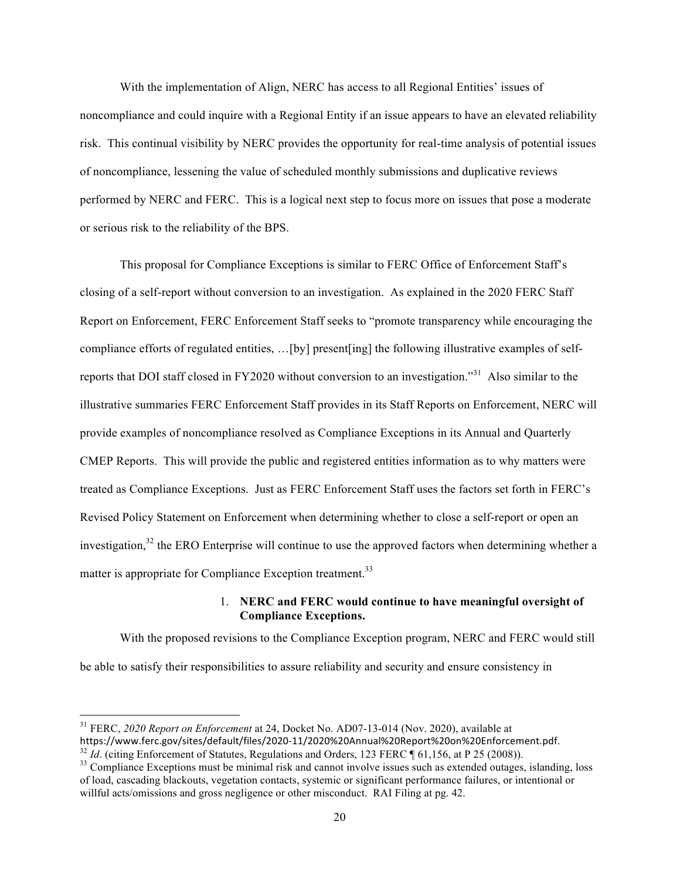With the implementation of Align, NERC has access to all Regional Entities' issues of noncompliance and could inquire with a Regional Entity if an issue appears to have an elevated reliability risk. This continual visibility by NERC provides the opportunity for real-time analysis of potential issues of noncompliance, lessening the value of scheduled monthly submissions and duplicative reviews performed by NERC and FERC. This is a logical next step to focus more on issues that pose a moderate or serious risk to the reliability of the BPS.

This proposal for Compliance Exceptions is similar to FERC Office of Enforcement Staff's closing of a self-report without conversion to an investigation. As explained in the 2020 FERC Staff Report on Enforcement, FERC Enforcement Staff seeks to "promote transparency while encouraging the compliance efforts of regulated entities, …[by] present[ing] the following illustrative examples of selfreports that DOI staff closed in FY2020 without conversion to an investigation."31 Also similar to the illustrative summaries FERC Enforcement Staff provides in its Staff Reports on Enforcement, NERC will provide examples of noncompliance resolved as Compliance Exceptions in its Annual and Quarterly CMEP Reports. This will provide the public and registered entities information as to why matters were treated as Compliance Exceptions. Just as FERC Enforcement Staff uses the factors set forth in FERC's Revised Policy Statement on Enforcement when determining whether to close a self-report or open an investigation,  $32$  the ERO Enterprise will continue to use the approved factors when determining whether a matter is appropriate for Compliance Exception treatment.<sup>33</sup>

### 1. **NERC and FERC would continue to have meaningful oversight of Compliance Exceptions.**

With the proposed revisions to the Compliance Exception program, NERC and FERC would still be able to satisfy their responsibilities to assure reliability and security and ensure consistency in

<sup>&</sup>lt;sup>31</sup> FERC, *2020 Report on Enforcement* at 24, Docket No. AD07-13-014 (Nov. 2020), available at <br>https://www.ferc.gov/sites/default/files/2020-11/2020%20Annual%20Report%20on%20Enforcement.pdf.

 $^{32}$  *Id.* (citing Enforcement of Statutes, Regulations and Orders, 123 FERC ¶ 61,156, at P 25 (2008)).<br><sup>33</sup> Compliance Exceptions must be minimal risk and cannot involve issues such as extended outages, islanding, loss

of load, cascading blackouts, vegetation contacts, systemic or significant performance failures, or intentional or willful acts/omissions and gross negligence or other misconduct. RAI Filing at pg. 42.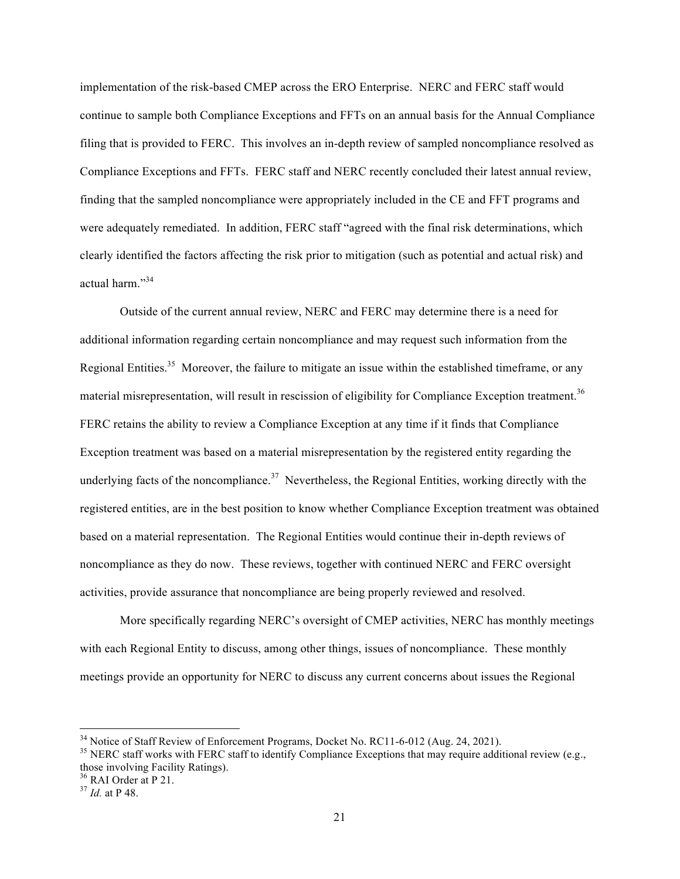implementation of the risk-based CMEP across the ERO Enterprise. NERC and FERC staff would continue to sample both Compliance Exceptions and FFTs on an annual basis for the Annual Compliance filing that is provided to FERC. This involves an in-depth review of sampled noncompliance resolved as Compliance Exceptions and FFTs. FERC staff and NERC recently concluded their latest annual review, finding that the sampled noncompliance were appropriately included in the CE and FFT programs and were adequately remediated. In addition, FERC staff "agreed with the final risk determinations, which clearly identified the factors affecting the risk prior to mitigation (such as potential and actual risk) and actual harm."34

Outside of the current annual review, NERC and FERC may determine there is a need for additional information regarding certain noncompliance and may request such information from the Regional Entities.<sup>35</sup> Moreover, the failure to mitigate an issue within the established timeframe, or any material misrepresentation, will result in rescission of eligibility for Compliance Exception treatment.<sup>36</sup> FERC retains the ability to review a Compliance Exception at any time if it finds that Compliance Exception treatment was based on a material misrepresentation by the registered entity regarding the underlying facts of the noncompliance.<sup>37</sup> Nevertheless, the Regional Entities, working directly with the registered entities, are in the best position to know whether Compliance Exception treatment was obtained based on a material representation. The Regional Entities would continue their in-depth reviews of noncompliance as they do now. These reviews, together with continued NERC and FERC oversight activities, provide assurance that noncompliance are being properly reviewed and resolved.

More specifically regarding NERC's oversight of CMEP activities, NERC has monthly meetings with each Regional Entity to discuss, among other things, issues of noncompliance. These monthly meetings provide an opportunity for NERC to discuss any current concerns about issues the Regional

<sup>&</sup>lt;sup>34</sup> Notice of Staff Review of Enforcement Programs, Docket No. RC11-6-012 (Aug. 24, 2021).<br><sup>35</sup> NERC staff works with FERC staff to identify Compliance Exceptions that may require additional review (e.g., those involving Facility Ratings).

<sup>36</sup> RAI Order at P 21. <sup>37</sup> *Id.* at P 48.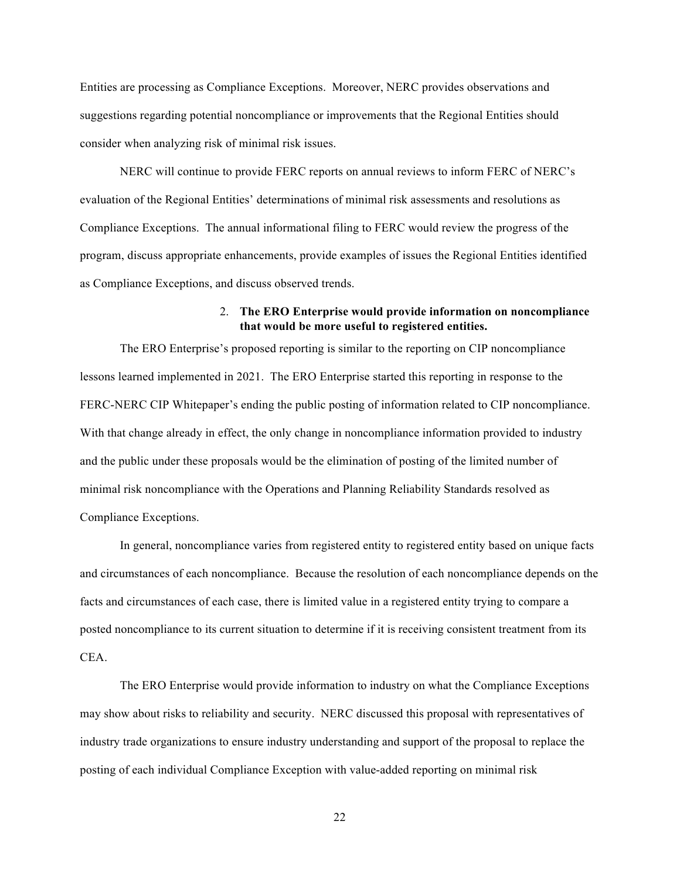Entities are processing as Compliance Exceptions. Moreover, NERC provides observations and suggestions regarding potential noncompliance or improvements that the Regional Entities should consider when analyzing risk of minimal risk issues.

NERC will continue to provide FERC reports on annual reviews to inform FERC of NERC's evaluation of the Regional Entities' determinations of minimal risk assessments and resolutions as Compliance Exceptions. The annual informational filing to FERC would review the progress of the program, discuss appropriate enhancements, provide examples of issues the Regional Entities identified as Compliance Exceptions, and discuss observed trends.

### 2. **The ERO Enterprise would provide information on noncompliance that would be more useful to registered entities.**

The ERO Enterprise's proposed reporting is similar to the reporting on CIP noncompliance lessons learned implemented in 2021. The ERO Enterprise started this reporting in response to the FERC-NERC CIP Whitepaper's ending the public posting of information related to CIP noncompliance. With that change already in effect, the only change in noncompliance information provided to industry and the public under these proposals would be the elimination of posting of the limited number of minimal risk noncompliance with the Operations and Planning Reliability Standards resolved as Compliance Exceptions.

In general, noncompliance varies from registered entity to registered entity based on unique facts and circumstances of each noncompliance. Because the resolution of each noncompliance depends on the facts and circumstances of each case, there is limited value in a registered entity trying to compare a posted noncompliance to its current situation to determine if it is receiving consistent treatment from its CEA.

The ERO Enterprise would provide information to industry on what the Compliance Exceptions may show about risks to reliability and security. NERC discussed this proposal with representatives of industry trade organizations to ensure industry understanding and support of the proposal to replace the posting of each individual Compliance Exception with value-added reporting on minimal risk

22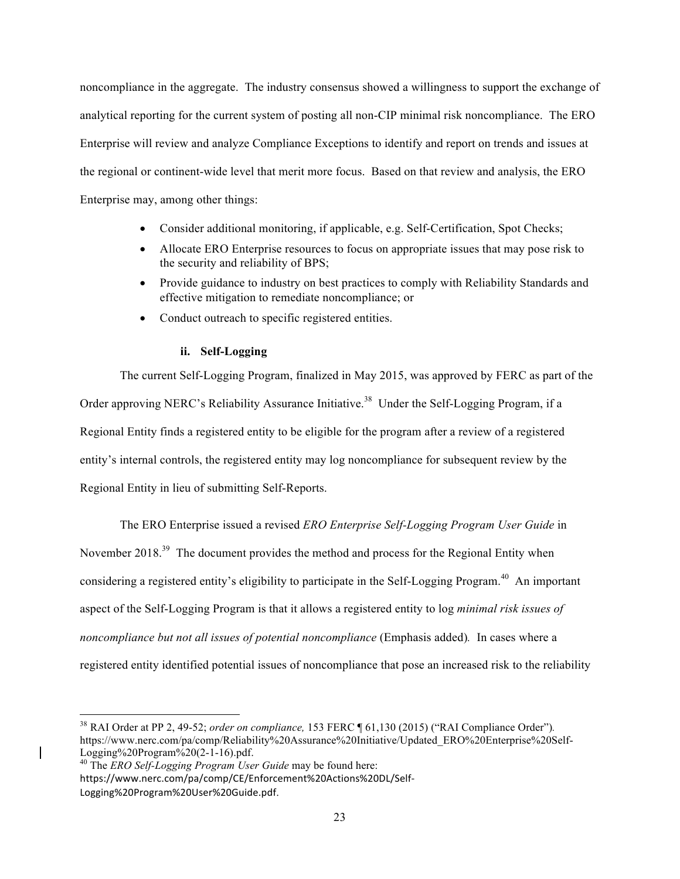noncompliance in the aggregate. The industry consensus showed a willingness to support the exchange of analytical reporting for the current system of posting all non-CIP minimal risk noncompliance. The ERO Enterprise will review and analyze Compliance Exceptions to identify and report on trends and issues at the regional or continent-wide level that merit more focus. Based on that review and analysis, the ERO Enterprise may, among other things:

- Consider additional monitoring, if applicable, e.g. Self-Certification, Spot Checks;
- Allocate ERO Enterprise resources to focus on appropriate issues that may pose risk to the security and reliability of BPS;
- Provide guidance to industry on best practices to comply with Reliability Standards and effective mitigation to remediate noncompliance; or
- Conduct outreach to specific registered entities.

### **ii. Self-Logging**

The current Self-Logging Program, finalized in May 2015, was approved by FERC as part of the Order approving NERC's Reliability Assurance Initiative.<sup>38</sup> Under the Self-Logging Program, if a Regional Entity finds a registered entity to be eligible for the program after a review of a registered entity's internal controls, the registered entity may log noncompliance for subsequent review by the Regional Entity in lieu of submitting Self-Reports.

The ERO Enterprise issued a revised *ERO Enterprise Self-Logging Program User Guide* in November 2018.<sup>39</sup> The document provides the method and process for the Regional Entity when considering a registered entity's eligibility to participate in the Self-Logging Program.<sup>40</sup> An important aspect of the Self-Logging Program is that it allows a registered entity to log *minimal risk issues of noncompliance but not all issues of potential noncompliance* (Emphasis added)*.* In cases where a registered entity identified potential issues of noncompliance that pose an increased risk to the reliability

<sup>38</sup> RAI Order at PP 2, 49-52; *order on compliance,* 153 FERC ¶ 61,130 (2015) ("RAI Compliance Order")*.* https://www.nerc.com/pa/comp/Reliability%20Assurance%20Initiative/Updated\_ERO%20Enterprise%20Self-<br>Logging%20Program%20(2-1-16).pdf.

Logging%20Program%20(2-1-16).pdf. <sup>40</sup> The *ERO Self-Logging Program User Guide* may be found here: https://www.nerc.com/pa/comp/CE/Enforcement%20Actions%20DL/Self-Logging%20Program%20User%20Guide.pdf.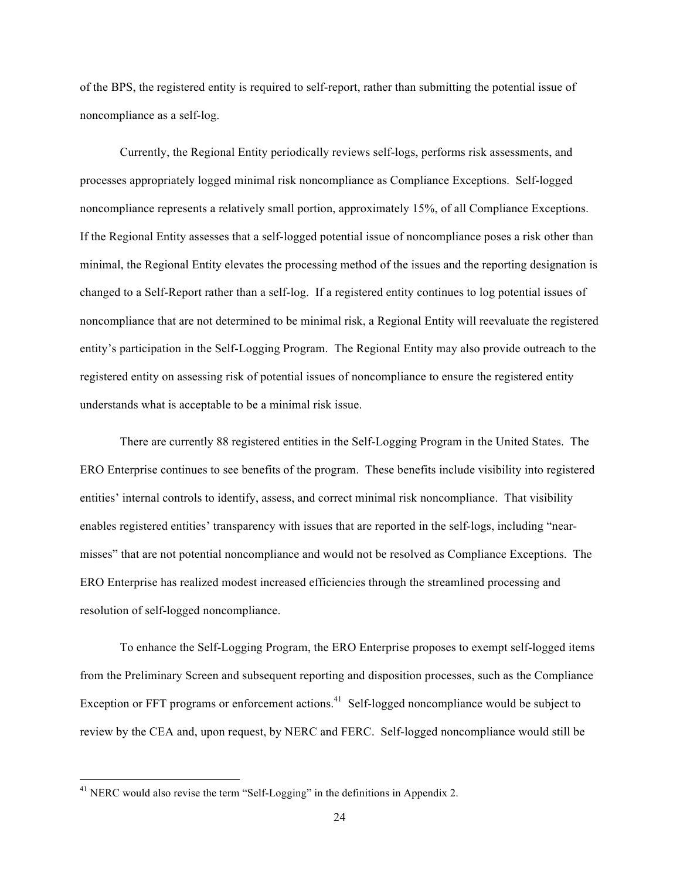of the BPS, the registered entity is required to self-report, rather than submitting the potential issue of noncompliance as a self-log.

Currently, the Regional Entity periodically reviews self-logs, performs risk assessments, and processes appropriately logged minimal risk noncompliance as Compliance Exceptions. Self-logged noncompliance represents a relatively small portion, approximately 15%, of all Compliance Exceptions. If the Regional Entity assesses that a self-logged potential issue of noncompliance poses a risk other than minimal, the Regional Entity elevates the processing method of the issues and the reporting designation is changed to a Self-Report rather than a self-log. If a registered entity continues to log potential issues of noncompliance that are not determined to be minimal risk, a Regional Entity will reevaluate the registered entity's participation in the Self-Logging Program. The Regional Entity may also provide outreach to the registered entity on assessing risk of potential issues of noncompliance to ensure the registered entity understands what is acceptable to be a minimal risk issue.

There are currently 88 registered entities in the Self-Logging Program in the United States. The ERO Enterprise continues to see benefits of the program. These benefits include visibility into registered entities' internal controls to identify, assess, and correct minimal risk noncompliance. That visibility enables registered entities' transparency with issues that are reported in the self-logs, including "nearmisses" that are not potential noncompliance and would not be resolved as Compliance Exceptions. The ERO Enterprise has realized modest increased efficiencies through the streamlined processing and resolution of self-logged noncompliance.

To enhance the Self-Logging Program, the ERO Enterprise proposes to exempt self-logged items from the Preliminary Screen and subsequent reporting and disposition processes, such as the Compliance Exception or FFT programs or enforcement actions.<sup>41</sup> Self-logged noncompliance would be subject to review by the CEA and, upon request, by NERC and FERC. Self-logged noncompliance would still be

<sup>&</sup>lt;sup>41</sup> NERC would also revise the term "Self-Logging" in the definitions in Appendix 2.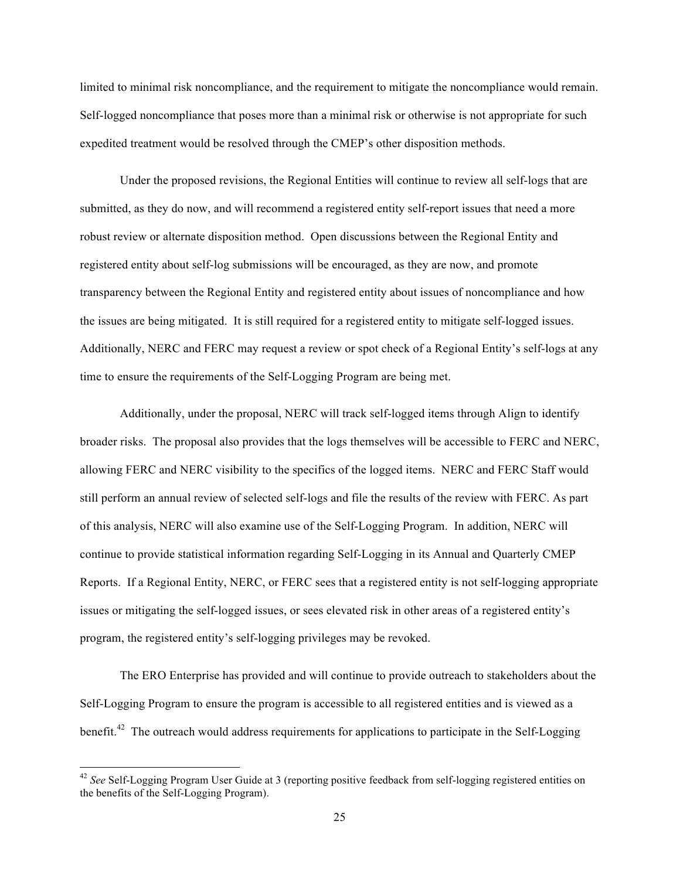limited to minimal risk noncompliance, and the requirement to mitigate the noncompliance would remain. Self-logged noncompliance that poses more than a minimal risk or otherwise is not appropriate for such expedited treatment would be resolved through the CMEP's other disposition methods.

Under the proposed revisions, the Regional Entities will continue to review all self-logs that are submitted, as they do now, and will recommend a registered entity self-report issues that need a more robust review or alternate disposition method. Open discussions between the Regional Entity and registered entity about self-log submissions will be encouraged, as they are now, and promote transparency between the Regional Entity and registered entity about issues of noncompliance and how the issues are being mitigated. It is still required for a registered entity to mitigate self-logged issues. Additionally, NERC and FERC may request a review or spot check of a Regional Entity's self-logs at any time to ensure the requirements of the Self-Logging Program are being met.

Additionally, under the proposal, NERC will track self-logged items through Align to identify broader risks. The proposal also provides that the logs themselves will be accessible to FERC and NERC, allowing FERC and NERC visibility to the specifics of the logged items. NERC and FERC Staff would still perform an annual review of selected self-logs and file the results of the review with FERC. As part of this analysis, NERC will also examine use of the Self-Logging Program. In addition, NERC will continue to provide statistical information regarding Self-Logging in its Annual and Quarterly CMEP Reports. If a Regional Entity, NERC, or FERC sees that a registered entity is not self-logging appropriate issues or mitigating the self-logged issues, or sees elevated risk in other areas of a registered entity's program, the registered entity's self-logging privileges may be revoked.

The ERO Enterprise has provided and will continue to provide outreach to stakeholders about the Self-Logging Program to ensure the program is accessible to all registered entities and is viewed as a benefit.<sup>42</sup> The outreach would address requirements for applications to participate in the Self-Logging

<sup>42</sup> *See* Self-Logging Program User Guide at 3 (reporting positive feedback from self-logging registered entities on the benefits of the Self-Logging Program).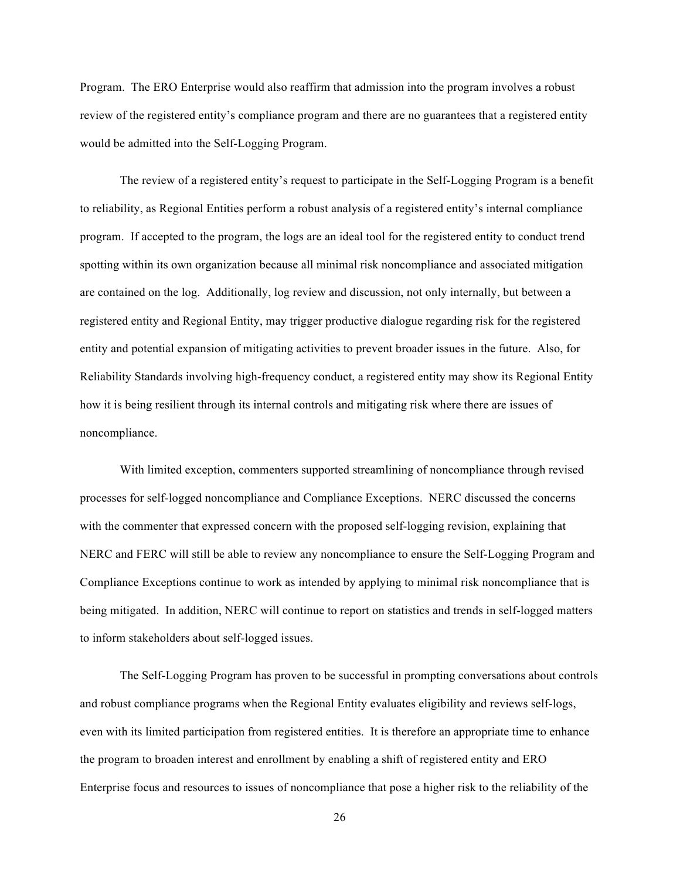Program. The ERO Enterprise would also reaffirm that admission into the program involves a robust review of the registered entity's compliance program and there are no guarantees that a registered entity would be admitted into the Self-Logging Program.

The review of a registered entity's request to participate in the Self-Logging Program is a benefit to reliability, as Regional Entities perform a robust analysis of a registered entity's internal compliance program. If accepted to the program, the logs are an ideal tool for the registered entity to conduct trend spotting within its own organization because all minimal risk noncompliance and associated mitigation are contained on the log. Additionally, log review and discussion, not only internally, but between a registered entity and Regional Entity, may trigger productive dialogue regarding risk for the registered entity and potential expansion of mitigating activities to prevent broader issues in the future. Also, for Reliability Standards involving high-frequency conduct, a registered entity may show its Regional Entity how it is being resilient through its internal controls and mitigating risk where there are issues of noncompliance.

With limited exception, commenters supported streamlining of noncompliance through revised processes for self-logged noncompliance and Compliance Exceptions. NERC discussed the concerns with the commenter that expressed concern with the proposed self-logging revision, explaining that NERC and FERC will still be able to review any noncompliance to ensure the Self-Logging Program and Compliance Exceptions continue to work as intended by applying to minimal risk noncompliance that is being mitigated. In addition, NERC will continue to report on statistics and trends in self-logged matters to inform stakeholders about self-logged issues.

The Self-Logging Program has proven to be successful in prompting conversations about controls and robust compliance programs when the Regional Entity evaluates eligibility and reviews self-logs, even with its limited participation from registered entities. It is therefore an appropriate time to enhance the program to broaden interest and enrollment by enabling a shift of registered entity and ERO Enterprise focus and resources to issues of noncompliance that pose a higher risk to the reliability of the

26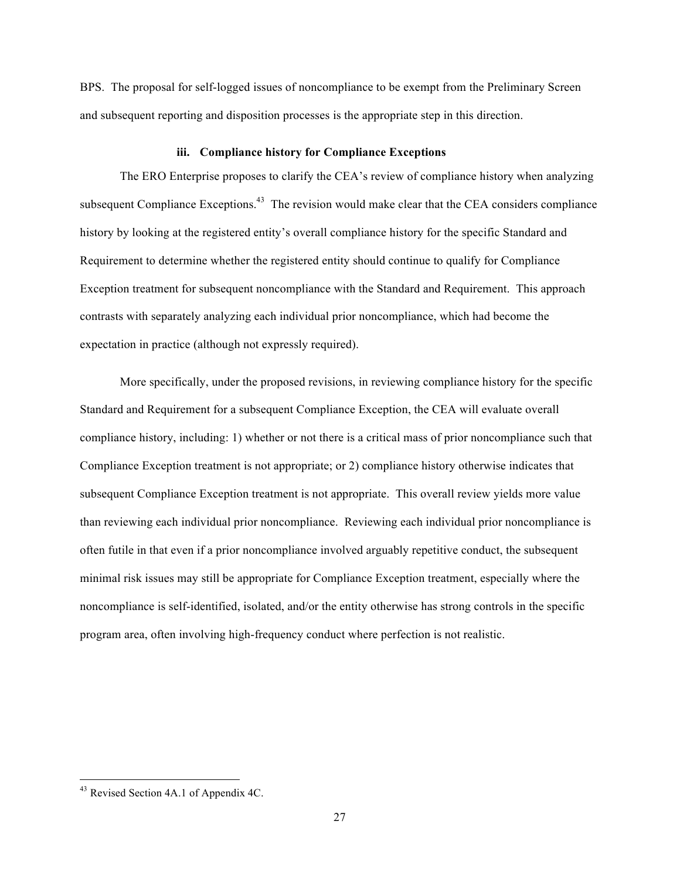BPS. The proposal for self-logged issues of noncompliance to be exempt from the Preliminary Screen and subsequent reporting and disposition processes is the appropriate step in this direction.

#### **iii. Compliance history for Compliance Exceptions**

The ERO Enterprise proposes to clarify the CEA's review of compliance history when analyzing subsequent Compliance Exceptions.<sup>43</sup> The revision would make clear that the CEA considers compliance history by looking at the registered entity's overall compliance history for the specific Standard and Requirement to determine whether the registered entity should continue to qualify for Compliance Exception treatment for subsequent noncompliance with the Standard and Requirement. This approach contrasts with separately analyzing each individual prior noncompliance, which had become the expectation in practice (although not expressly required).

More specifically, under the proposed revisions, in reviewing compliance history for the specific Standard and Requirement for a subsequent Compliance Exception, the CEA will evaluate overall compliance history, including: 1) whether or not there is a critical mass of prior noncompliance such that Compliance Exception treatment is not appropriate; or 2) compliance history otherwise indicates that subsequent Compliance Exception treatment is not appropriate. This overall review yields more value than reviewing each individual prior noncompliance. Reviewing each individual prior noncompliance is often futile in that even if a prior noncompliance involved arguably repetitive conduct, the subsequent minimal risk issues may still be appropriate for Compliance Exception treatment, especially where the noncompliance is self-identified, isolated, and/or the entity otherwise has strong controls in the specific program area, often involving high-frequency conduct where perfection is not realistic.

<sup>&</sup>lt;sup>43</sup> Revised Section 4A.1 of Appendix 4C.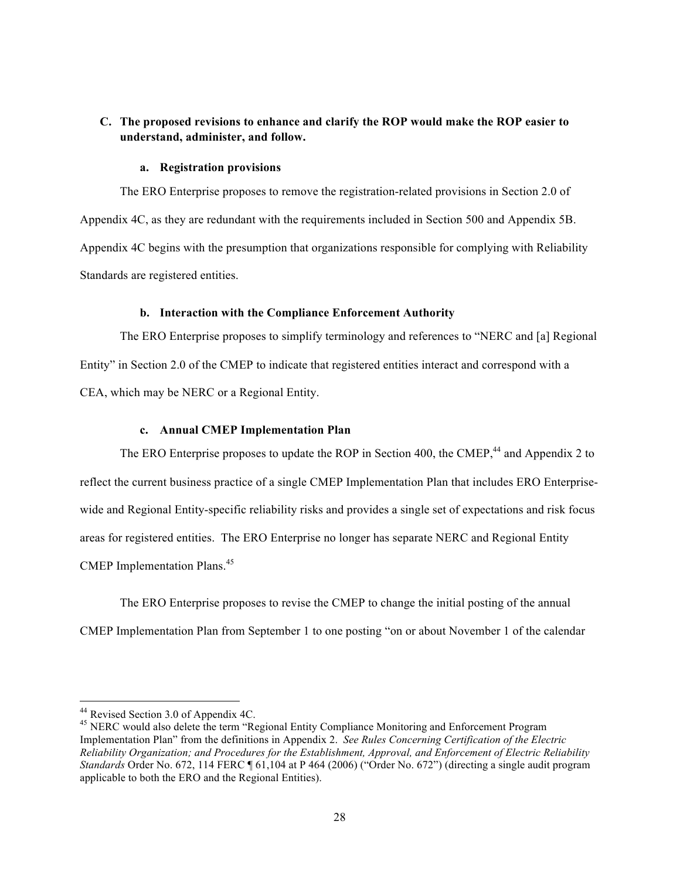# **C. The proposed revisions to enhance and clarify the ROP would make the ROP easier to understand, administer, and follow.**

#### **a. Registration provisions**

The ERO Enterprise proposes to remove the registration-related provisions in Section 2.0 of Appendix 4C, as they are redundant with the requirements included in Section 500 and Appendix 5B. Appendix 4C begins with the presumption that organizations responsible for complying with Reliability Standards are registered entities.

### **b. Interaction with the Compliance Enforcement Authority**

The ERO Enterprise proposes to simplify terminology and references to "NERC and [a] Regional Entity" in Section 2.0 of the CMEP to indicate that registered entities interact and correspond with a CEA, which may be NERC or a Regional Entity.

### **c. Annual CMEP Implementation Plan**

The ERO Enterprise proposes to update the ROP in Section 400, the CMEP,<sup>44</sup> and Appendix 2 to reflect the current business practice of a single CMEP Implementation Plan that includes ERO Enterprisewide and Regional Entity-specific reliability risks and provides a single set of expectations and risk focus areas for registered entities. The ERO Enterprise no longer has separate NERC and Regional Entity CMEP Implementation Plans.<sup>45</sup>

The ERO Enterprise proposes to revise the CMEP to change the initial posting of the annual CMEP Implementation Plan from September 1 to one posting "on or about November 1 of the calendar

<sup>&</sup>lt;u> 1989 - Johann Barn, mars ann an t-Amhain an t-Amhain an t-Amhain an t-Amhain an t-Amhain an t-Amhain an t-Amh</u>

<sup>&</sup>lt;sup>44</sup> Revised Section 3.0 of Appendix 4C.<br><sup>45</sup> NERC would also delete the term "Regional Entity Compliance Monitoring and Enforcement Program Implementation Plan" from the definitions in Appendix 2. *See Rules Concerning Certification of the Electric Reliability Organization; and Procedures for the Establishment, Approval, and Enforcement of Electric Reliability Standards* Order No. 672, 114 FERC ¶ 61,104 at P 464 (2006) ("Order No. 672") (directing a single audit program applicable to both the ERO and the Regional Entities).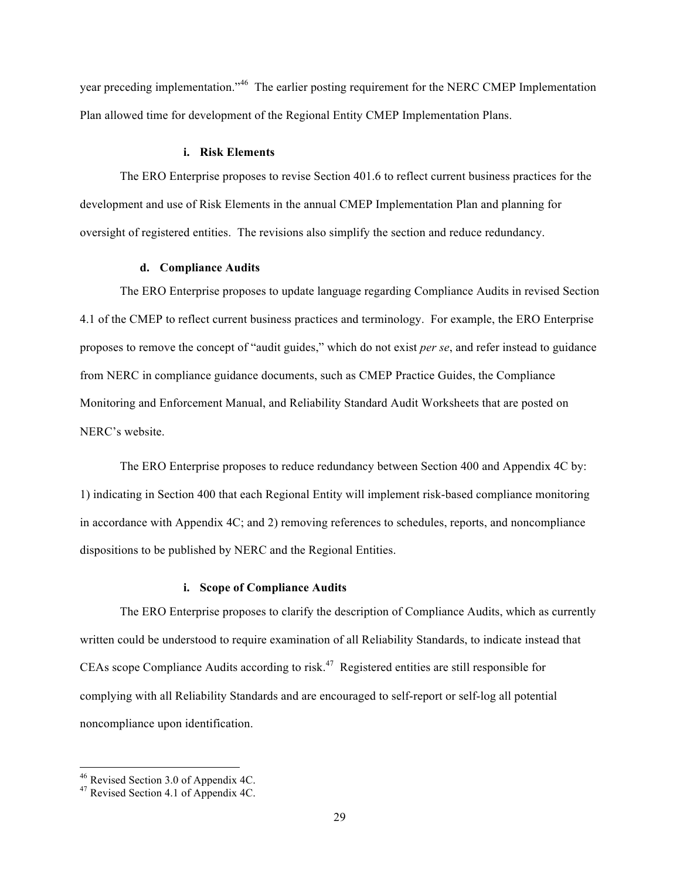year preceding implementation."<sup>46</sup> The earlier posting requirement for the NERC CMEP Implementation Plan allowed time for development of the Regional Entity CMEP Implementation Plans.

#### **i. Risk Elements**

The ERO Enterprise proposes to revise Section 401.6 to reflect current business practices for the development and use of Risk Elements in the annual CMEP Implementation Plan and planning for oversight of registered entities. The revisions also simplify the section and reduce redundancy.

#### **d. Compliance Audits**

The ERO Enterprise proposes to update language regarding Compliance Audits in revised Section 4.1 of the CMEP to reflect current business practices and terminology. For example, the ERO Enterprise proposes to remove the concept of "audit guides," which do not exist *per se*, and refer instead to guidance from NERC in compliance guidance documents, such as CMEP Practice Guides, the Compliance Monitoring and Enforcement Manual, and Reliability Standard Audit Worksheets that are posted on NERC's website.

The ERO Enterprise proposes to reduce redundancy between Section 400 and Appendix 4C by: 1) indicating in Section 400 that each Regional Entity will implement risk-based compliance monitoring in accordance with Appendix 4C; and 2) removing references to schedules, reports, and noncompliance dispositions to be published by NERC and the Regional Entities.

#### **i. Scope of Compliance Audits**

The ERO Enterprise proposes to clarify the description of Compliance Audits, which as currently written could be understood to require examination of all Reliability Standards, to indicate instead that CEAs scope Compliance Audits according to risk. 47 Registered entities are still responsible for complying with all Reliability Standards and are encouraged to self-report or self-log all potential noncompliance upon identification.

<sup>&</sup>lt;u> 1989 - Johann Barn, mars ann an t-Amhain an t-Amhain an t-Amhain an t-Amhain an t-Amhain an t-Amhain an t-Amh</u> <sup>46</sup> Revised Section 3.0 of Appendix 4C.<br><sup>47</sup> Revised Section 4.1 of Appendix 4C.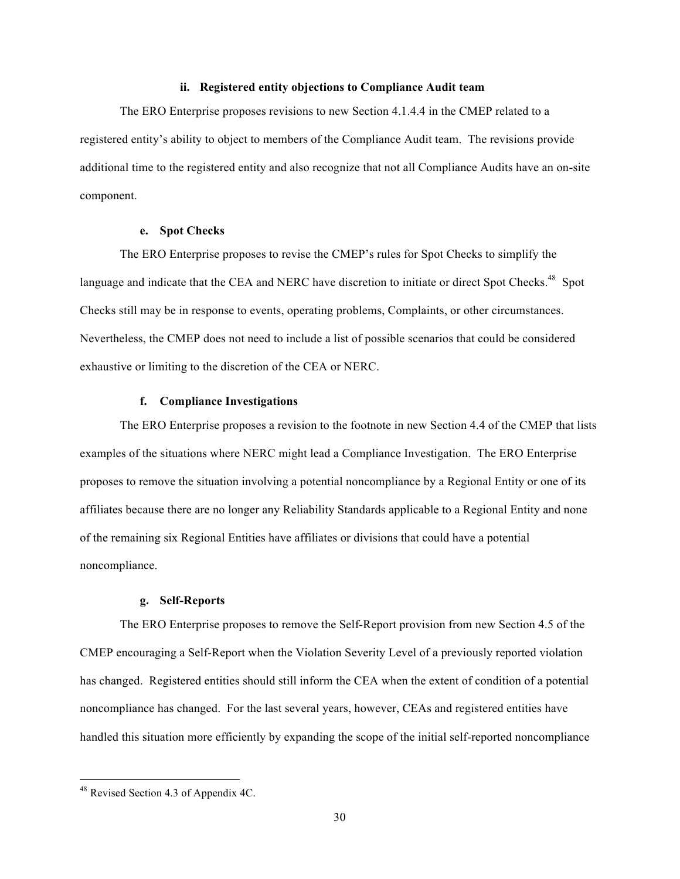#### **ii. Registered entity objections to Compliance Audit team**

The ERO Enterprise proposes revisions to new Section 4.1.4.4 in the CMEP related to a registered entity's ability to object to members of the Compliance Audit team. The revisions provide additional time to the registered entity and also recognize that not all Compliance Audits have an on-site component.

### **e. Spot Checks**

The ERO Enterprise proposes to revise the CMEP's rules for Spot Checks to simplify the language and indicate that the CEA and NERC have discretion to initiate or direct Spot Checks.<sup>48</sup> Spot Checks still may be in response to events, operating problems, Complaints, or other circumstances. Nevertheless, the CMEP does not need to include a list of possible scenarios that could be considered exhaustive or limiting to the discretion of the CEA or NERC.

#### **f. Compliance Investigations**

The ERO Enterprise proposes a revision to the footnote in new Section 4.4 of the CMEP that lists examples of the situations where NERC might lead a Compliance Investigation. The ERO Enterprise proposes to remove the situation involving a potential noncompliance by a Regional Entity or one of its affiliates because there are no longer any Reliability Standards applicable to a Regional Entity and none of the remaining six Regional Entities have affiliates or divisions that could have a potential noncompliance.

#### **g. Self-Reports**

The ERO Enterprise proposes to remove the Self-Report provision from new Section 4.5 of the CMEP encouraging a Self-Report when the Violation Severity Level of a previously reported violation has changed. Registered entities should still inform the CEA when the extent of condition of a potential noncompliance has changed. For the last several years, however, CEAs and registered entities have handled this situation more efficiently by expanding the scope of the initial self-reported noncompliance

<sup>&</sup>lt;u> 1989 - Johann Barn, mars ann an t-Amhain an t-Amhain an t-Amhain an t-Amhain an t-Amhain an t-Amhain an t-Amh</u> <sup>48</sup> Revised Section 4.3 of Appendix 4C.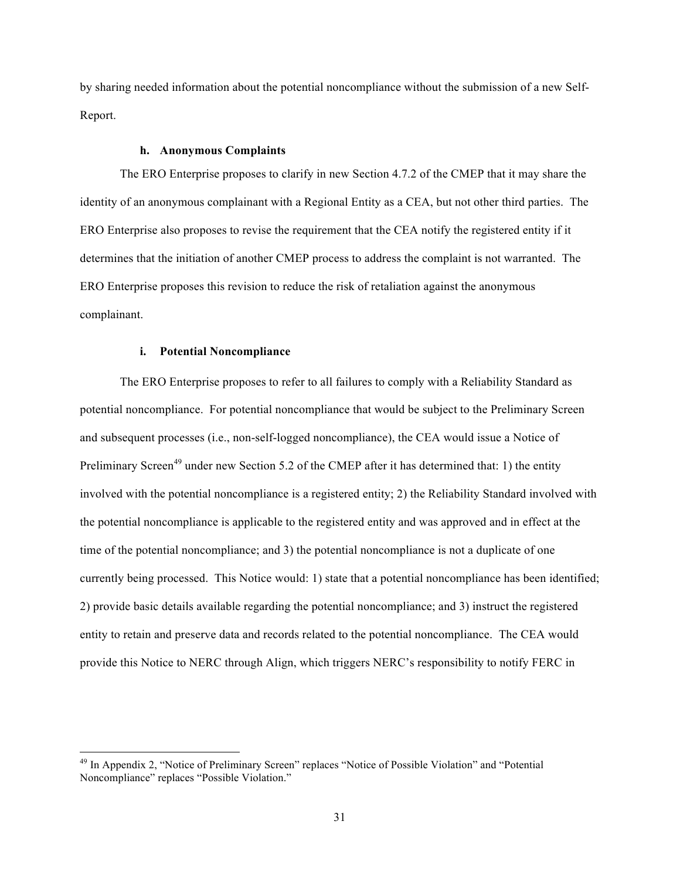by sharing needed information about the potential noncompliance without the submission of a new Self-Report.

#### **h. Anonymous Complaints**

The ERO Enterprise proposes to clarify in new Section 4.7.2 of the CMEP that it may share the identity of an anonymous complainant with a Regional Entity as a CEA, but not other third parties. The ERO Enterprise also proposes to revise the requirement that the CEA notify the registered entity if it determines that the initiation of another CMEP process to address the complaint is not warranted. The ERO Enterprise proposes this revision to reduce the risk of retaliation against the anonymous complainant.

#### **i. Potential Noncompliance**

<u> 1989 - Johann Barn, mars ann an t-Amhain an t-Amhain an t-Amhain an t-Amhain an t-Amhain an t-Amhain an t-Amh</u>

The ERO Enterprise proposes to refer to all failures to comply with a Reliability Standard as potential noncompliance. For potential noncompliance that would be subject to the Preliminary Screen and subsequent processes (i.e., non-self-logged noncompliance), the CEA would issue a Notice of Preliminary Screen<sup>49</sup> under new Section 5.2 of the CMEP after it has determined that: 1) the entity involved with the potential noncompliance is a registered entity; 2) the Reliability Standard involved with the potential noncompliance is applicable to the registered entity and was approved and in effect at the time of the potential noncompliance; and 3) the potential noncompliance is not a duplicate of one currently being processed. This Notice would: 1) state that a potential noncompliance has been identified; 2) provide basic details available regarding the potential noncompliance; and 3) instruct the registered entity to retain and preserve data and records related to the potential noncompliance. The CEA would provide this Notice to NERC through Align, which triggers NERC's responsibility to notify FERC in

<sup>&</sup>lt;sup>49</sup> In Appendix 2, "Notice of Preliminary Screen" replaces "Notice of Possible Violation" and "Potential Noncompliance" replaces "Possible Violation."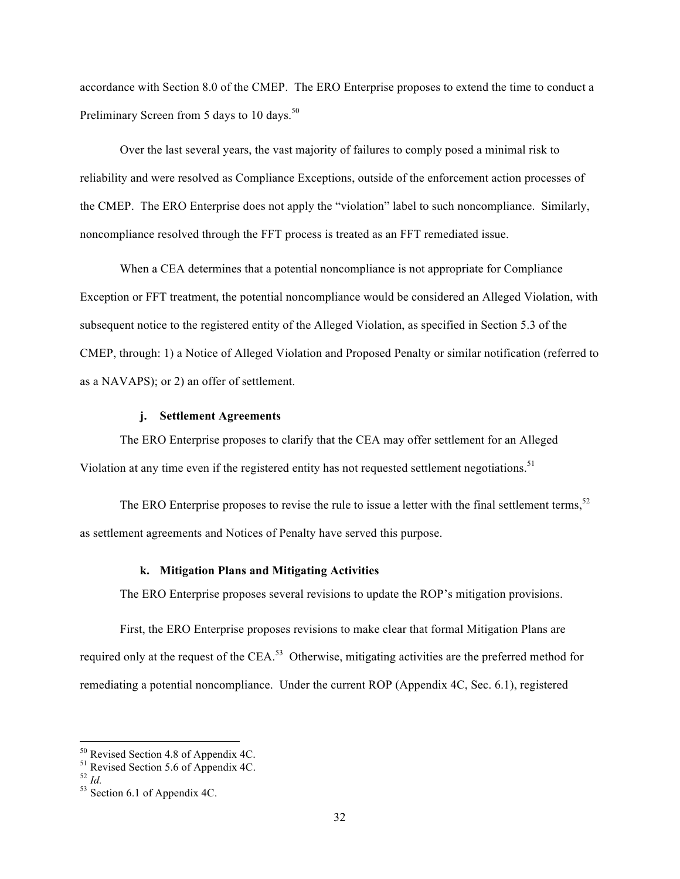accordance with Section 8.0 of the CMEP. The ERO Enterprise proposes to extend the time to conduct a Preliminary Screen from 5 days to 10 days.<sup>50</sup>

Over the last several years, the vast majority of failures to comply posed a minimal risk to reliability and were resolved as Compliance Exceptions, outside of the enforcement action processes of the CMEP. The ERO Enterprise does not apply the "violation" label to such noncompliance. Similarly, noncompliance resolved through the FFT process is treated as an FFT remediated issue.

When a CEA determines that a potential noncompliance is not appropriate for Compliance Exception or FFT treatment, the potential noncompliance would be considered an Alleged Violation, with subsequent notice to the registered entity of the Alleged Violation, as specified in Section 5.3 of the CMEP, through: 1) a Notice of Alleged Violation and Proposed Penalty or similar notification (referred to as a NAVAPS); or 2) an offer of settlement.

### **j. Settlement Agreements**

The ERO Enterprise proposes to clarify that the CEA may offer settlement for an Alleged Violation at any time even if the registered entity has not requested settlement negotiations.<sup>51</sup>

The ERO Enterprise proposes to revise the rule to issue a letter with the final settlement terms,  $52$ as settlement agreements and Notices of Penalty have served this purpose.

### **k. Mitigation Plans and Mitigating Activities**

The ERO Enterprise proposes several revisions to update the ROP's mitigation provisions.

First, the ERO Enterprise proposes revisions to make clear that formal Mitigation Plans are required only at the request of the CEA.<sup>53</sup> Otherwise, mitigating activities are the preferred method for remediating a potential noncompliance. Under the current ROP (Appendix 4C, Sec. 6.1), registered

<sup>&</sup>lt;u> 1989 - Johann Barn, mars ann an t-Amhain an t-Amhain an t-Amhain an t-Amhain an t-Amhain an t-Amhain an t-Amh</u>

<sup>&</sup>lt;sup>50</sup> Revised Section 4.8 of Appendix 4C.<br><sup>51</sup> Revised Section 5.6 of Appendix 4C.<br><sup>52</sup> *Id.* 53 Section 6.1 of Appendix 4C.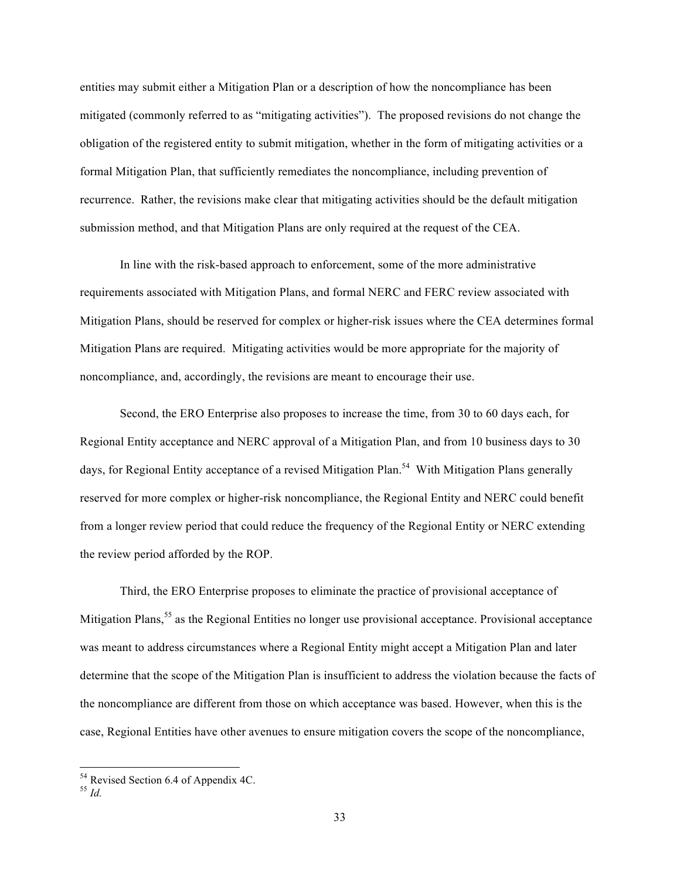entities may submit either a Mitigation Plan or a description of how the noncompliance has been mitigated (commonly referred to as "mitigating activities"). The proposed revisions do not change the obligation of the registered entity to submit mitigation, whether in the form of mitigating activities or a formal Mitigation Plan, that sufficiently remediates the noncompliance, including prevention of recurrence. Rather, the revisions make clear that mitigating activities should be the default mitigation submission method, and that Mitigation Plans are only required at the request of the CEA.

In line with the risk-based approach to enforcement, some of the more administrative requirements associated with Mitigation Plans, and formal NERC and FERC review associated with Mitigation Plans, should be reserved for complex or higher-risk issues where the CEA determines formal Mitigation Plans are required. Mitigating activities would be more appropriate for the majority of noncompliance, and, accordingly, the revisions are meant to encourage their use.

Second, the ERO Enterprise also proposes to increase the time, from 30 to 60 days each, for Regional Entity acceptance and NERC approval of a Mitigation Plan, and from 10 business days to 30 days, for Regional Entity acceptance of a revised Mitigation Plan.<sup>54</sup> With Mitigation Plans generally reserved for more complex or higher-risk noncompliance, the Regional Entity and NERC could benefit from a longer review period that could reduce the frequency of the Regional Entity or NERC extending the review period afforded by the ROP.

Third, the ERO Enterprise proposes to eliminate the practice of provisional acceptance of Mitigation Plans,<sup>55</sup> as the Regional Entities no longer use provisional acceptance. Provisional acceptance was meant to address circumstances where a Regional Entity might accept a Mitigation Plan and later determine that the scope of the Mitigation Plan is insufficient to address the violation because the facts of the noncompliance are different from those on which acceptance was based. However, when this is the case, Regional Entities have other avenues to ensure mitigation covers the scope of the noncompliance,

<sup>&</sup>lt;u> 1989 - Johann Barn, mars ann an t-Amhain an t-Amhain an t-Amhain an t-Amhain an t-Amhain an t-Amhain an t-Amh</u> <sup>54</sup> Revised Section 6.4 of Appendix 4C.<br><sup>55</sup> *Id.*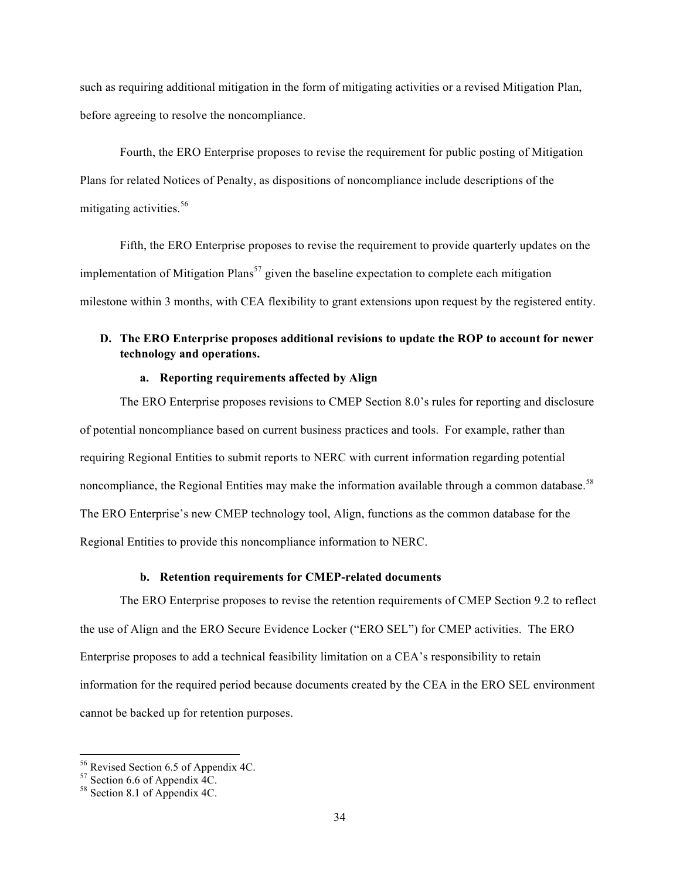such as requiring additional mitigation in the form of mitigating activities or a revised Mitigation Plan, before agreeing to resolve the noncompliance.

Fourth, the ERO Enterprise proposes to revise the requirement for public posting of Mitigation Plans for related Notices of Penalty, as dispositions of noncompliance include descriptions of the mitigating activities.<sup>56</sup>

Fifth, the ERO Enterprise proposes to revise the requirement to provide quarterly updates on the implementation of Mitigation Plans<sup>57</sup> given the baseline expectation to complete each mitigation milestone within 3 months, with CEA flexibility to grant extensions upon request by the registered entity.

# **D. The ERO Enterprise proposes additional revisions to update the ROP to account for newer technology and operations.**

# **a. Reporting requirements affected by Align**

The ERO Enterprise proposes revisions to CMEP Section 8.0's rules for reporting and disclosure of potential noncompliance based on current business practices and tools. For example, rather than requiring Regional Entities to submit reports to NERC with current information regarding potential noncompliance, the Regional Entities may make the information available through a common database.<sup>58</sup> The ERO Enterprise's new CMEP technology tool, Align, functions as the common database for the Regional Entities to provide this noncompliance information to NERC.

#### **b. Retention requirements for CMEP-related documents**

The ERO Enterprise proposes to revise the retention requirements of CMEP Section 9.2 to reflect the use of Align and the ERO Secure Evidence Locker ("ERO SEL") for CMEP activities. The ERO Enterprise proposes to add a technical feasibility limitation on a CEA's responsibility to retain information for the required period because documents created by the CEA in the ERO SEL environment cannot be backed up for retention purposes.

 <sup>56</sup> Revised Section 6.5 of Appendix 4C.<br><sup>57</sup> Section 6.6 of Appendix 4C.<br><sup>58</sup> Section 8.1 of Appendix 4C.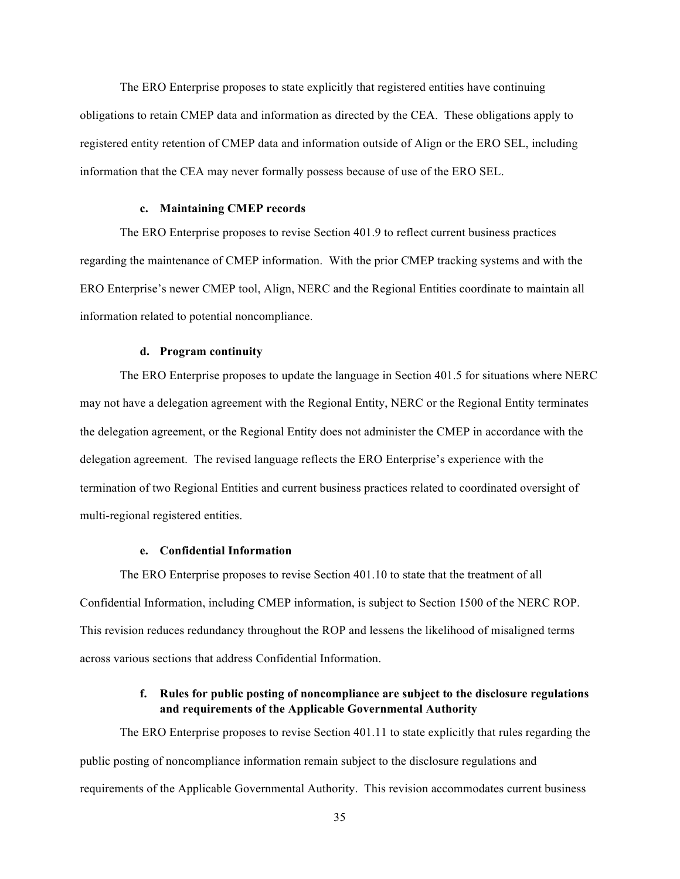The ERO Enterprise proposes to state explicitly that registered entities have continuing obligations to retain CMEP data and information as directed by the CEA. These obligations apply to registered entity retention of CMEP data and information outside of Align or the ERO SEL, including information that the CEA may never formally possess because of use of the ERO SEL.

### **c. Maintaining CMEP records**

The ERO Enterprise proposes to revise Section 401.9 to reflect current business practices regarding the maintenance of CMEP information. With the prior CMEP tracking systems and with the ERO Enterprise's newer CMEP tool, Align, NERC and the Regional Entities coordinate to maintain all information related to potential noncompliance.

#### **d. Program continuity**

The ERO Enterprise proposes to update the language in Section 401.5 for situations where NERC may not have a delegation agreement with the Regional Entity, NERC or the Regional Entity terminates the delegation agreement, or the Regional Entity does not administer the CMEP in accordance with the delegation agreement. The revised language reflects the ERO Enterprise's experience with the termination of two Regional Entities and current business practices related to coordinated oversight of multi-regional registered entities.

#### **e. Confidential Information**

The ERO Enterprise proposes to revise Section 401.10 to state that the treatment of all Confidential Information, including CMEP information, is subject to Section 1500 of the NERC ROP. This revision reduces redundancy throughout the ROP and lessens the likelihood of misaligned terms across various sections that address Confidential Information.

### **f. Rules for public posting of noncompliance are subject to the disclosure regulations and requirements of the Applicable Governmental Authority**

The ERO Enterprise proposes to revise Section 401.11 to state explicitly that rules regarding the public posting of noncompliance information remain subject to the disclosure regulations and requirements of the Applicable Governmental Authority. This revision accommodates current business

35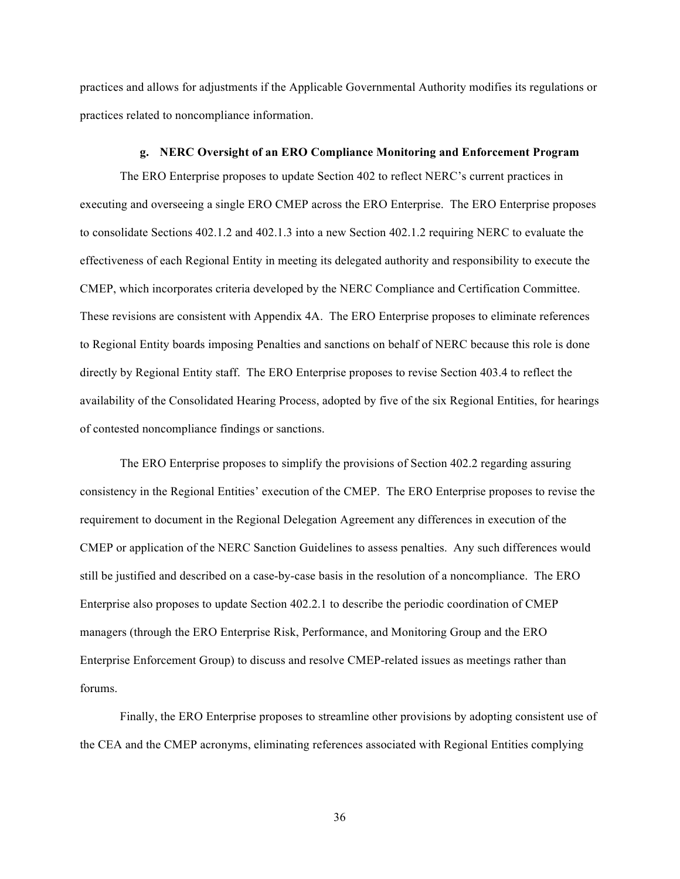practices and allows for adjustments if the Applicable Governmental Authority modifies its regulations or practices related to noncompliance information.

#### **g. NERC Oversight of an ERO Compliance Monitoring and Enforcement Program**

The ERO Enterprise proposes to update Section 402 to reflect NERC's current practices in executing and overseeing a single ERO CMEP across the ERO Enterprise. The ERO Enterprise proposes to consolidate Sections 402.1.2 and 402.1.3 into a new Section 402.1.2 requiring NERC to evaluate the effectiveness of each Regional Entity in meeting its delegated authority and responsibility to execute the CMEP, which incorporates criteria developed by the NERC Compliance and Certification Committee. These revisions are consistent with Appendix 4A. The ERO Enterprise proposes to eliminate references to Regional Entity boards imposing Penalties and sanctions on behalf of NERC because this role is done directly by Regional Entity staff. The ERO Enterprise proposes to revise Section 403.4 to reflect the availability of the Consolidated Hearing Process, adopted by five of the six Regional Entities, for hearings of contested noncompliance findings or sanctions.

The ERO Enterprise proposes to simplify the provisions of Section 402.2 regarding assuring consistency in the Regional Entities' execution of the CMEP. The ERO Enterprise proposes to revise the requirement to document in the Regional Delegation Agreement any differences in execution of the CMEP or application of the NERC Sanction Guidelines to assess penalties. Any such differences would still be justified and described on a case-by-case basis in the resolution of a noncompliance. The ERO Enterprise also proposes to update Section 402.2.1 to describe the periodic coordination of CMEP managers (through the ERO Enterprise Risk, Performance, and Monitoring Group and the ERO Enterprise Enforcement Group) to discuss and resolve CMEP-related issues as meetings rather than forums.

Finally, the ERO Enterprise proposes to streamline other provisions by adopting consistent use of the CEA and the CMEP acronyms, eliminating references associated with Regional Entities complying

36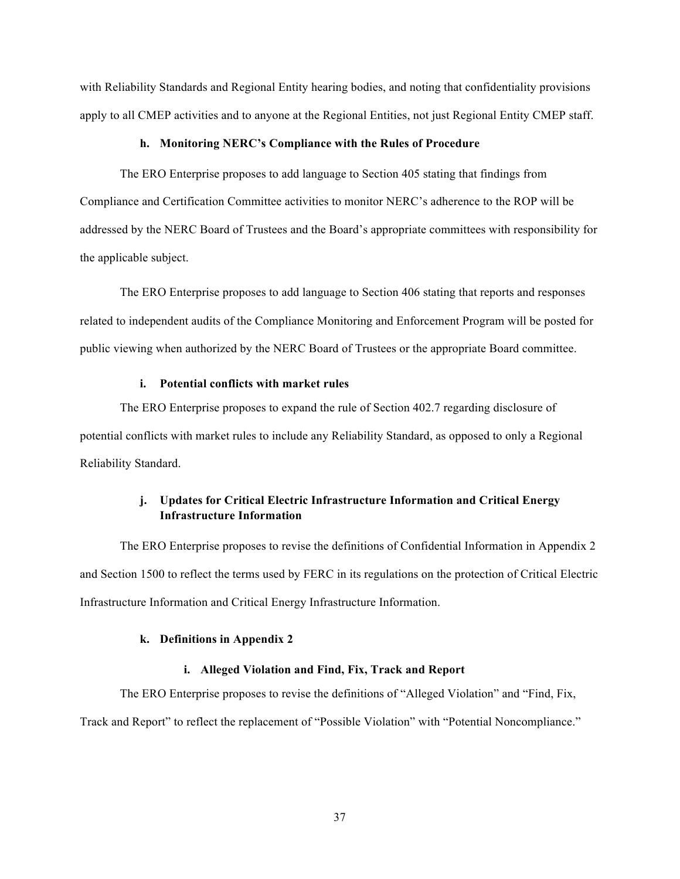with Reliability Standards and Regional Entity hearing bodies, and noting that confidentiality provisions apply to all CMEP activities and to anyone at the Regional Entities, not just Regional Entity CMEP staff.

#### **h. Monitoring NERC's Compliance with the Rules of Procedure**

The ERO Enterprise proposes to add language to Section 405 stating that findings from Compliance and Certification Committee activities to monitor NERC's adherence to the ROP will be addressed by the NERC Board of Trustees and the Board's appropriate committees with responsibility for the applicable subject.

The ERO Enterprise proposes to add language to Section 406 stating that reports and responses related to independent audits of the Compliance Monitoring and Enforcement Program will be posted for public viewing when authorized by the NERC Board of Trustees or the appropriate Board committee.

### **i. Potential conflicts with market rules**

The ERO Enterprise proposes to expand the rule of Section 402.7 regarding disclosure of potential conflicts with market rules to include any Reliability Standard, as opposed to only a Regional Reliability Standard.

# **j. Updates for Critical Electric Infrastructure Information and Critical Energy Infrastructure Information**

The ERO Enterprise proposes to revise the definitions of Confidential Information in Appendix 2 and Section 1500 to reflect the terms used by FERC in its regulations on the protection of Critical Electric Infrastructure Information and Critical Energy Infrastructure Information.

#### **k. Definitions in Appendix 2**

#### **i. Alleged Violation and Find, Fix, Track and Report**

The ERO Enterprise proposes to revise the definitions of "Alleged Violation" and "Find, Fix, Track and Report" to reflect the replacement of "Possible Violation" with "Potential Noncompliance."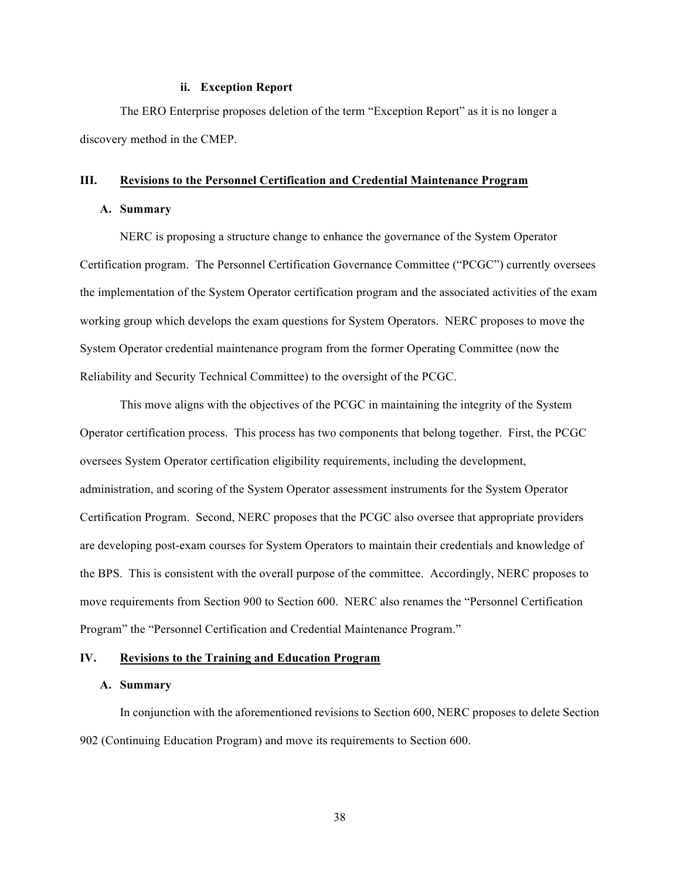#### **ii. Exception Report**

The ERO Enterprise proposes deletion of the term "Exception Report" as it is no longer a discovery method in the CMEP.

#### **III. Revisions to the Personnel Certification and Credential Maintenance Program**

#### **A. Summary**

NERC is proposing a structure change to enhance the governance of the System Operator Certification program. The Personnel Certification Governance Committee ("PCGC") currently oversees the implementation of the System Operator certification program and the associated activities of the exam working group which develops the exam questions for System Operators. NERC proposes to move the System Operator credential maintenance program from the former Operating Committee (now the Reliability and Security Technical Committee) to the oversight of the PCGC.

This move aligns with the objectives of the PCGC in maintaining the integrity of the System Operator certification process. This process has two components that belong together. First, the PCGC oversees System Operator certification eligibility requirements, including the development, administration, and scoring of the System Operator assessment instruments for the System Operator Certification Program. Second, NERC proposes that the PCGC also oversee that appropriate providers are developing post-exam courses for System Operators to maintain their credentials and knowledge of the BPS. This is consistent with the overall purpose of the committee. Accordingly, NERC proposes to move requirements from Section 900 to Section 600. NERC also renames the "Personnel Certification Program" the "Personnel Certification and Credential Maintenance Program."

#### **IV. Revisions to the Training and Education Program**

#### **A. Summary**

In conjunction with the aforementioned revisions to Section 600, NERC proposes to delete Section 902 (Continuing Education Program) and move its requirements to Section 600.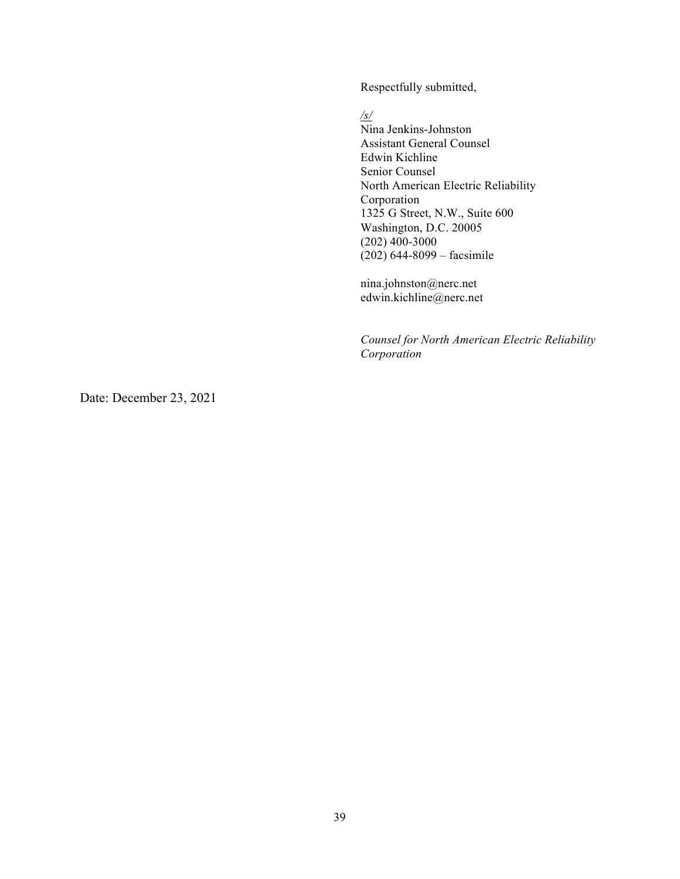Respectfully submitted,

*/s/* 

Nina Jenkins-Johnston Assistant General Counsel Edwin Kichline Senior Counsel North American Electric Reliability Corporation 1325 G Street, N.W., Suite 600 Washington, D.C. 20005 (202) 400-3000 (202) 644-8099 – facsimile

nina.johnston@nerc.net edwin.kichline@nerc.net

*Counsel for North American Electric Reliability Corporation*

Date: December 23, 2021